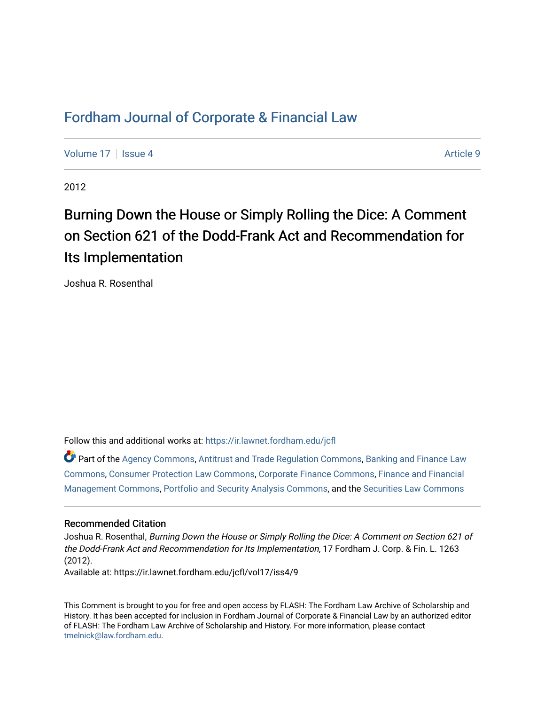# [Fordham Journal of Corporate & Financial Law](https://ir.lawnet.fordham.edu/jcfl)

[Volume 17](https://ir.lawnet.fordham.edu/jcfl/vol17) Setupate 4 Article 9

2012

# Burning Down the House or Simply Rolling the Dice: A Comment on Section 621 of the Dodd-Frank Act and Recommendation for Its Implementation

Joshua R. Rosenthal

Follow this and additional works at: [https://ir.lawnet.fordham.edu/jcfl](https://ir.lawnet.fordham.edu/jcfl?utm_source=ir.lawnet.fordham.edu%2Fjcfl%2Fvol17%2Fiss4%2F9&utm_medium=PDF&utm_campaign=PDFCoverPages) 

Part of the [Agency Commons,](http://network.bepress.com/hgg/discipline/829?utm_source=ir.lawnet.fordham.edu%2Fjcfl%2Fvol17%2Fiss4%2F9&utm_medium=PDF&utm_campaign=PDFCoverPages) [Antitrust and Trade Regulation Commons,](http://network.bepress.com/hgg/discipline/911?utm_source=ir.lawnet.fordham.edu%2Fjcfl%2Fvol17%2Fiss4%2F9&utm_medium=PDF&utm_campaign=PDFCoverPages) [Banking and Finance Law](http://network.bepress.com/hgg/discipline/833?utm_source=ir.lawnet.fordham.edu%2Fjcfl%2Fvol17%2Fiss4%2F9&utm_medium=PDF&utm_campaign=PDFCoverPages) [Commons](http://network.bepress.com/hgg/discipline/833?utm_source=ir.lawnet.fordham.edu%2Fjcfl%2Fvol17%2Fiss4%2F9&utm_medium=PDF&utm_campaign=PDFCoverPages), [Consumer Protection Law Commons](http://network.bepress.com/hgg/discipline/838?utm_source=ir.lawnet.fordham.edu%2Fjcfl%2Fvol17%2Fiss4%2F9&utm_medium=PDF&utm_campaign=PDFCoverPages), [Corporate Finance Commons,](http://network.bepress.com/hgg/discipline/629?utm_source=ir.lawnet.fordham.edu%2Fjcfl%2Fvol17%2Fiss4%2F9&utm_medium=PDF&utm_campaign=PDFCoverPages) [Finance and Financial](http://network.bepress.com/hgg/discipline/631?utm_source=ir.lawnet.fordham.edu%2Fjcfl%2Fvol17%2Fiss4%2F9&utm_medium=PDF&utm_campaign=PDFCoverPages)  [Management Commons](http://network.bepress.com/hgg/discipline/631?utm_source=ir.lawnet.fordham.edu%2Fjcfl%2Fvol17%2Fiss4%2F9&utm_medium=PDF&utm_campaign=PDFCoverPages), [Portfolio and Security Analysis Commons](http://network.bepress.com/hgg/discipline/640?utm_source=ir.lawnet.fordham.edu%2Fjcfl%2Fvol17%2Fiss4%2F9&utm_medium=PDF&utm_campaign=PDFCoverPages), and the [Securities Law Commons](http://network.bepress.com/hgg/discipline/619?utm_source=ir.lawnet.fordham.edu%2Fjcfl%2Fvol17%2Fiss4%2F9&utm_medium=PDF&utm_campaign=PDFCoverPages) 

#### Recommended Citation

Joshua R. Rosenthal, Burning Down the House or Simply Rolling the Dice: A Comment on Section 621 of the Dodd-Frank Act and Recommendation for Its Implementation, 17 Fordham J. Corp. & Fin. L. 1263 (2012). Available at: https://ir.lawnet.fordham.edu/jcfl/vol17/iss4/9

This Comment is brought to you for free and open access by FLASH: The Fordham Law Archive of Scholarship and History. It has been accepted for inclusion in Fordham Journal of Corporate & Financial Law by an authorized editor of FLASH: The Fordham Law Archive of Scholarship and History. For more information, please contact [tmelnick@law.fordham.edu](mailto:tmelnick@law.fordham.edu).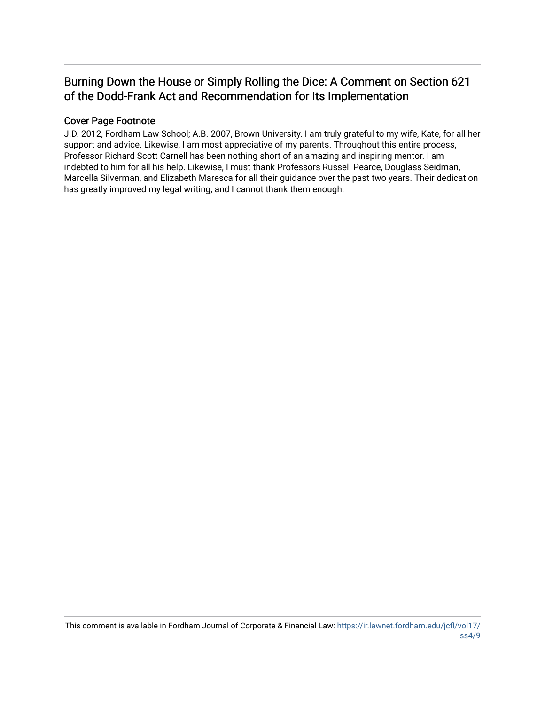# Burning Down the House or Simply Rolling the Dice: A Comment on Section 621 of the Dodd-Frank Act and Recommendation for Its Implementation

# Cover Page Footnote

J.D. 2012, Fordham Law School; A.B. 2007, Brown University. I am truly grateful to my wife, Kate, for all her support and advice. Likewise, I am most appreciative of my parents. Throughout this entire process, Professor Richard Scott Carnell has been nothing short of an amazing and inspiring mentor. I am indebted to him for all his help. Likewise, I must thank Professors Russell Pearce, Douglass Seidman, Marcella Silverman, and Elizabeth Maresca for all their guidance over the past two years. Their dedication has greatly improved my legal writing, and I cannot thank them enough.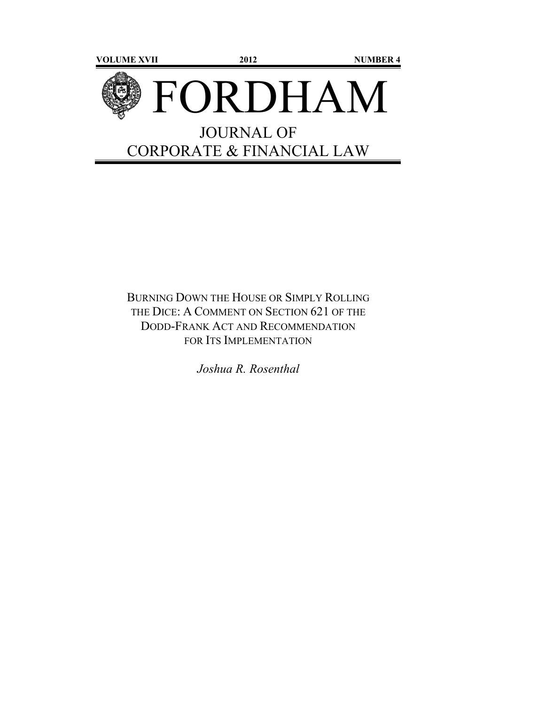

BURNING DOWN THE HOUSE OR SIMPLY ROLLING THE DICE: A COMMENT ON SECTION 621 OF THE DODD-FRANK ACT AND RECOMMENDATION FOR ITS IMPLEMENTATION

*Joshua R. Rosenthal*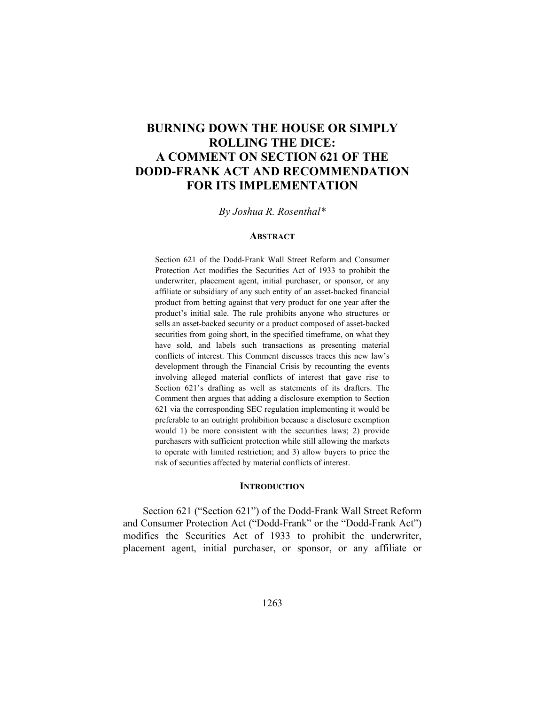# **BURNING DOWN THE HOUSE OR SIMPLY ROLLING THE DICE: A COMMENT ON SECTION 621 OF THE DODD-FRANK ACT AND RECOMMENDATION FOR ITS IMPLEMENTATION**

#### *By Joshua R. Rosenthal\**

#### **ABSTRACT**

Section 621 of the Dodd-Frank Wall Street Reform and Consumer Protection Act modifies the Securities Act of 1933 to prohibit the underwriter, placement agent, initial purchaser, or sponsor, or any affiliate or subsidiary of any such entity of an asset-backed financial product from betting against that very product for one year after the product's initial sale. The rule prohibits anyone who structures or sells an asset-backed security or a product composed of asset-backed securities from going short, in the specified timeframe, on what they have sold, and labels such transactions as presenting material conflicts of interest. This Comment discusses traces this new law's development through the Financial Crisis by recounting the events involving alleged material conflicts of interest that gave rise to Section 621's drafting as well as statements of its drafters. The Comment then argues that adding a disclosure exemption to Section 621 via the corresponding SEC regulation implementing it would be preferable to an outright prohibition because a disclosure exemption would 1) be more consistent with the securities laws; 2) provide purchasers with sufficient protection while still allowing the markets to operate with limited restriction; and 3) allow buyers to price the risk of securities affected by material conflicts of interest.

#### **INTRODUCTION**

Section 621 ("Section 621") of the Dodd-Frank Wall Street Reform and Consumer Protection Act ("Dodd-Frank" or the "Dodd-Frank Act") modifies the Securities Act of 1933 to prohibit the underwriter, placement agent, initial purchaser, or sponsor, or any affiliate or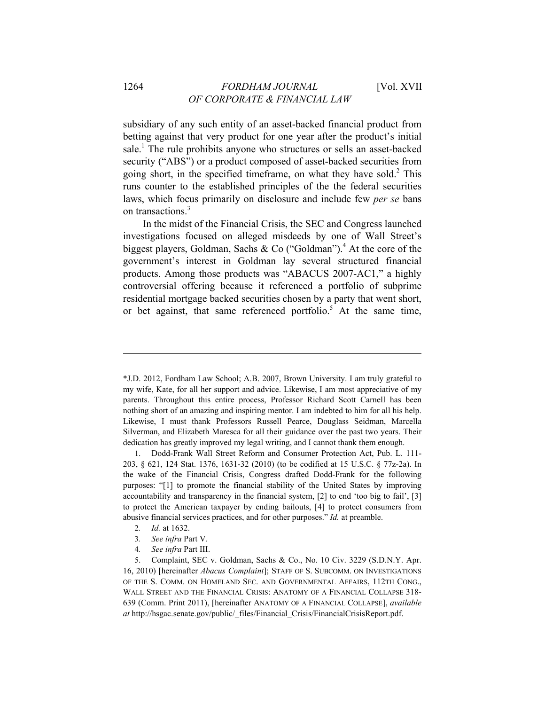subsidiary of any such entity of an asset-backed financial product from betting against that very product for one year after the product's initial sale.<sup>1</sup> The rule prohibits anyone who structures or sells an asset-backed security ("ABS") or a product composed of asset-backed securities from going short, in the specified timeframe, on what they have sold.<sup>2</sup> This runs counter to the established principles of the the federal securities laws, which focus primarily on disclosure and include few *per se* bans on transactions.<sup>3</sup>

In the midst of the Financial Crisis, the SEC and Congress launched investigations focused on alleged misdeeds by one of Wall Street's biggest players, Goldman, Sachs & Co ("Goldman").<sup>4</sup> At the core of the government's interest in Goldman lay several structured financial products. Among those products was "ABACUS 2007-AC1," a highly controversial offering because it referenced a portfolio of subprime residential mortgage backed securities chosen by a party that went short, or bet against, that same referenced portfolio.<sup>5</sup> At the same time,

- 2*. Id.* at 1632.
- 3*. See infra* Part V.
- 4*. See infra* Part III.

5. Complaint, SEC v. Goldman, Sachs & Co., No. 10 Civ. 3229 (S.D.N.Y. Apr. 16, 2010) [hereinafter *Abacus Complaint*]; STAFF OF S. SUBCOMM. ON INVESTIGATIONS OF THE S. COMM. ON HOMELAND SEC. AND GOVERNMENTAL AFFAIRS, 112TH CONG., WALL STREET AND THE FINANCIAL CRISIS: ANATOMY OF A FINANCIAL COLLAPSE 318- 639 (Comm. Print 2011), [hereinafter ANATOMY OF A FINANCIAL COLLAPSE], *available at* http://hsgac.senate.gov/public/\_files/Financial\_Crisis/FinancialCrisisReport.pdf.

<sup>\*</sup>J.D. 2012, Fordham Law School; A.B. 2007, Brown University. I am truly grateful to my wife, Kate, for all her support and advice. Likewise, I am most appreciative of my parents. Throughout this entire process, Professor Richard Scott Carnell has been nothing short of an amazing and inspiring mentor. I am indebted to him for all his help. Likewise, I must thank Professors Russell Pearce, Douglass Seidman, Marcella Silverman, and Elizabeth Maresca for all their guidance over the past two years. Their dedication has greatly improved my legal writing, and I cannot thank them enough.

<sup>1.</sup> Dodd-Frank Wall Street Reform and Consumer Protection Act, Pub. L. 111- 203, § 621, 124 Stat. 1376, 1631-32 (2010) (to be codified at 15 U.S.C. § 77z-2a). In the wake of the Financial Crisis, Congress drafted Dodd-Frank for the following purposes: "[1] to promote the financial stability of the United States by improving accountability and transparency in the financial system, [2] to end 'too big to fail', [3] to protect the American taxpayer by ending bailouts, [4] to protect consumers from abusive financial services practices, and for other purposes." *Id.* at preamble.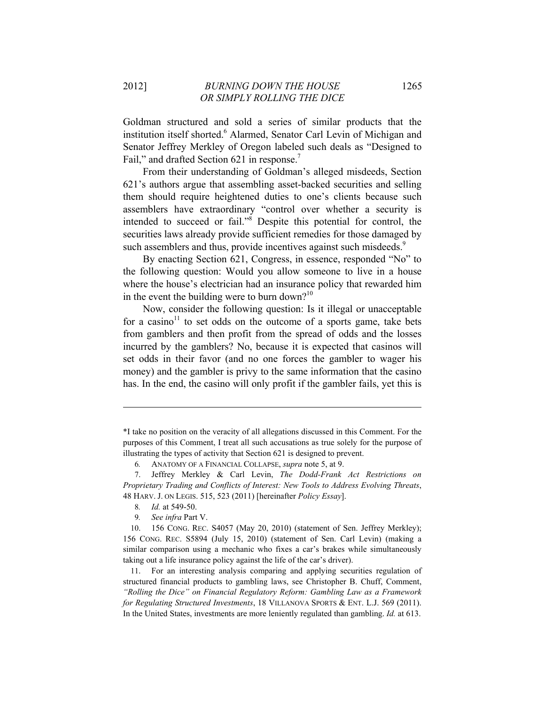Goldman structured and sold a series of similar products that the institution itself shorted.<sup>6</sup> Alarmed, Senator Carl Levin of Michigan and Senator Jeffrey Merkley of Oregon labeled such deals as "Designed to Fail," and drafted Section 621 in response.<sup>7</sup>

From their understanding of Goldman's alleged misdeeds, Section 621's authors argue that assembling asset-backed securities and selling them should require heightened duties to one's clients because such assemblers have extraordinary "control over whether a security is intended to succeed or fail."8 Despite this potential for control, the securities laws already provide sufficient remedies for those damaged by such assemblers and thus, provide incentives against such misdeeds.<sup>9</sup>

By enacting Section 621, Congress, in essence, responded "No" to the following question: Would you allow someone to live in a house where the house's electrician had an insurance policy that rewarded him in the event the building were to burn down?<sup>10</sup>

Now, consider the following question: Is it illegal or unacceptable for a casino<sup>11</sup> to set odds on the outcome of a sports game, take bets from gamblers and then profit from the spread of odds and the losses incurred by the gamblers? No, because it is expected that casinos will set odds in their favor (and no one forces the gambler to wager his money) and the gambler is privy to the same information that the casino has. In the end, the casino will only profit if the gambler fails, yet this is

<sup>\*</sup>I take no position on the veracity of all allegations discussed in this Comment. For the purposes of this Comment, I treat all such accusations as true solely for the purpose of illustrating the types of activity that Section 621 is designed to prevent.

<sup>6</sup>*.* ANATOMY OF A FINANCIAL COLLAPSE, *supra* note 5, at 9.

<sup>7.</sup> Jeffrey Merkley & Carl Levin, *The Dodd-Frank Act Restrictions on Proprietary Trading and Conflicts of Interest: New Tools to Address Evolving Threats*, 48 HARV. J. ON LEGIS. 515, 523 (2011) [hereinafter *Policy Essay*].

<sup>8</sup>*. Id.* at 549-50.

<sup>9</sup>*. See infra* Part V.

<sup>10. 156</sup> CONG. REC. S4057 (May 20, 2010) (statement of Sen. Jeffrey Merkley); 156 CONG. REC. S5894 (July 15, 2010) (statement of Sen. Carl Levin) (making a similar comparison using a mechanic who fixes a car's brakes while simultaneously taking out a life insurance policy against the life of the car's driver).

<sup>11.</sup> For an interesting analysis comparing and applying securities regulation of structured financial products to gambling laws, see Christopher B. Chuff, Comment, *"Rolling the Dice" on Financial Regulatory Reform: Gambling Law as a Framework for Regulating Structured Investments*, 18 VILLANOVA SPORTS & ENT. L.J. 569 (2011). In the United States, investments are more leniently regulated than gambling. *Id.* at 613.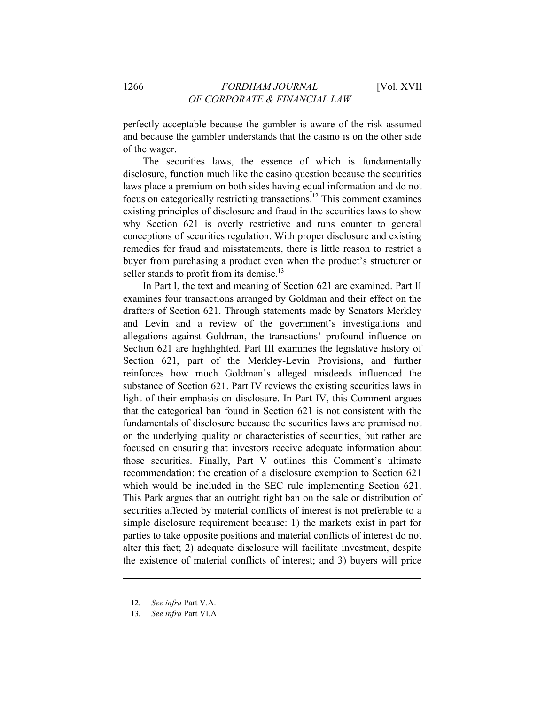perfectly acceptable because the gambler is aware of the risk assumed and because the gambler understands that the casino is on the other side of the wager.

The securities laws, the essence of which is fundamentally disclosure, function much like the casino question because the securities laws place a premium on both sides having equal information and do not focus on categorically restricting transactions.12 This comment examines existing principles of disclosure and fraud in the securities laws to show why Section 621 is overly restrictive and runs counter to general conceptions of securities regulation. With proper disclosure and existing remedies for fraud and misstatements, there is little reason to restrict a buyer from purchasing a product even when the product's structurer or seller stands to profit from its demise.<sup>13</sup>

In Part I, the text and meaning of Section 621 are examined. Part II examines four transactions arranged by Goldman and their effect on the drafters of Section 621. Through statements made by Senators Merkley and Levin and a review of the government's investigations and allegations against Goldman, the transactions' profound influence on Section 621 are highlighted. Part III examines the legislative history of Section 621, part of the Merkley-Levin Provisions, and further reinforces how much Goldman's alleged misdeeds influenced the substance of Section 621. Part IV reviews the existing securities laws in light of their emphasis on disclosure. In Part IV, this Comment argues that the categorical ban found in Section 621 is not consistent with the fundamentals of disclosure because the securities laws are premised not on the underlying quality or characteristics of securities, but rather are focused on ensuring that investors receive adequate information about those securities. Finally, Part V outlines this Comment's ultimate recommendation: the creation of a disclosure exemption to Section 621 which would be included in the SEC rule implementing Section 621. This Park argues that an outright right ban on the sale or distribution of securities affected by material conflicts of interest is not preferable to a simple disclosure requirement because: 1) the markets exist in part for parties to take opposite positions and material conflicts of interest do not alter this fact; 2) adequate disclosure will facilitate investment, despite the existence of material conflicts of interest; and 3) buyers will price

<sup>12</sup>*. See infra* Part V.A.

<sup>13</sup>*. See infra* Part VI.A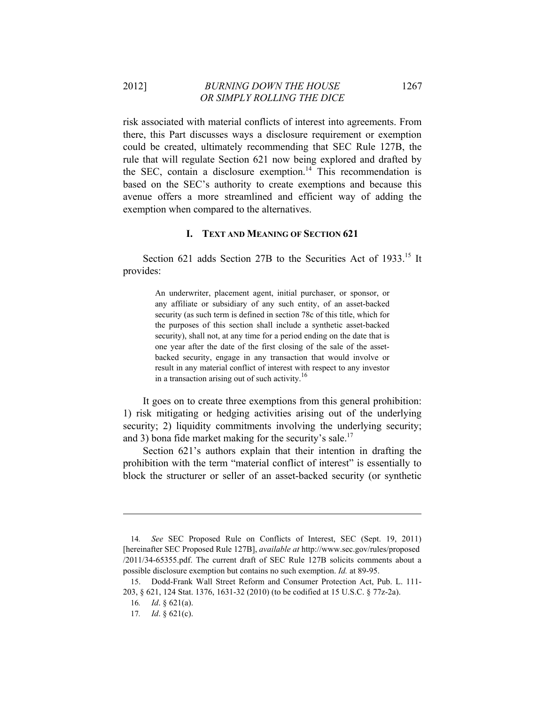2012] *BURNING DOWN THE HOUSE* 1267 *OR SIMPLY ROLLING THE DICE* 

risk associated with material conflicts of interest into agreements. From there, this Part discusses ways a disclosure requirement or exemption could be created, ultimately recommending that SEC Rule 127B, the rule that will regulate Section 621 now being explored and drafted by the SEC, contain a disclosure exemption.<sup>14</sup> This recommendation is based on the SEC's authority to create exemptions and because this avenue offers a more streamlined and efficient way of adding the exemption when compared to the alternatives.

#### **I. TEXT AND MEANING OF SECTION 621**

Section 621 adds Section 27B to the Securities Act of 1933.<sup>15</sup> It provides:

> An underwriter, placement agent, initial purchaser, or sponsor, or any affiliate or subsidiary of any such entity, of an asset-backed security (as such term is defined in section 78c of this title, which for the purposes of this section shall include a synthetic asset-backed security), shall not, at any time for a period ending on the date that is one year after the date of the first closing of the sale of the assetbacked security, engage in any transaction that would involve or result in any material conflict of interest with respect to any investor in a transaction arising out of such activity.<sup>16</sup>

It goes on to create three exemptions from this general prohibition: 1) risk mitigating or hedging activities arising out of the underlying security; 2) liquidity commitments involving the underlying security; and 3) bona fide market making for the security's sale.<sup>17</sup>

Section 621's authors explain that their intention in drafting the prohibition with the term "material conflict of interest" is essentially to block the structurer or seller of an asset-backed security (or synthetic

<sup>14</sup>*. See* SEC Proposed Rule on Conflicts of Interest, SEC (Sept. 19, 2011) [hereinafter SEC Proposed Rule 127B], *available at* http://www.sec.gov/rules/proposed /2011/34-65355.pdf. The current draft of SEC Rule 127B solicits comments about a possible disclosure exemption but contains no such exemption. *Id.* at 89-95.

<sup>15.</sup> Dodd-Frank Wall Street Reform and Consumer Protection Act, Pub. L. 111- 203, § 621, 124 Stat. 1376, 1631-32 (2010) (to be codified at 15 U.S.C. § 77z-2a).

<sup>16</sup>*. Id*. § 621(a).

<sup>17</sup>*. Id*. § 621(c).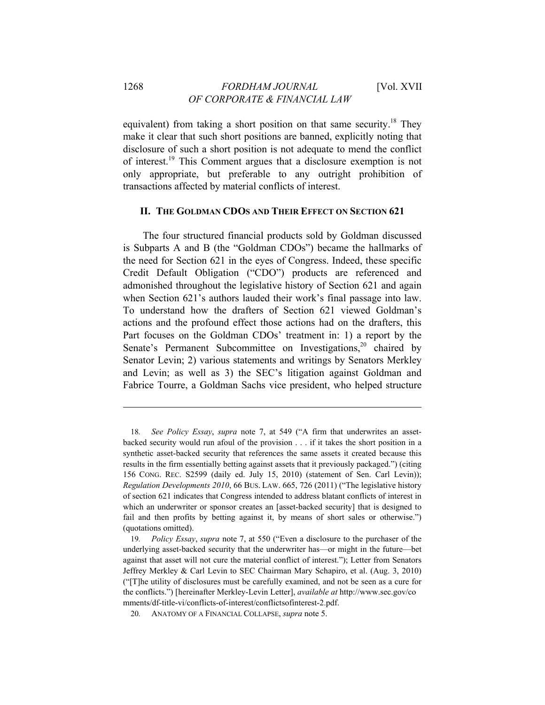equivalent) from taking a short position on that same security.<sup>18</sup> They make it clear that such short positions are banned, explicitly noting that disclosure of such a short position is not adequate to mend the conflict of interest.19 This Comment argues that a disclosure exemption is not only appropriate, but preferable to any outright prohibition of transactions affected by material conflicts of interest.

#### **II. THE GOLDMAN CDOS AND THEIR EFFECT ON SECTION 621**

The four structured financial products sold by Goldman discussed is Subparts A and B (the "Goldman CDOs") became the hallmarks of the need for Section 621 in the eyes of Congress. Indeed, these specific Credit Default Obligation ("CDO") products are referenced and admonished throughout the legislative history of Section 621 and again when Section 621's authors lauded their work's final passage into law. To understand how the drafters of Section 621 viewed Goldman's actions and the profound effect those actions had on the drafters, this Part focuses on the Goldman CDOs' treatment in: 1) a report by the Senate's Permanent Subcommittee on Investigations,<sup>20</sup> chaired by Senator Levin; 2) various statements and writings by Senators Merkley and Levin; as well as 3) the SEC's litigation against Goldman and Fabrice Tourre, a Goldman Sachs vice president, who helped structure

<sup>18</sup>*. See Policy Essay*, *supra* note 7, at 549 ("A firm that underwrites an assetbacked security would run afoul of the provision . . . if it takes the short position in a synthetic asset-backed security that references the same assets it created because this results in the firm essentially betting against assets that it previously packaged.") (citing 156 CONG. REC. S2599 (daily ed. July 15, 2010) (statement of Sen. Carl Levin)); *Regulation Developments 2010*, 66 BUS. LAW. 665, 726 (2011) ("The legislative history of section 621 indicates that Congress intended to address blatant conflicts of interest in which an underwriter or sponsor creates an [asset-backed security] that is designed to fail and then profits by betting against it, by means of short sales or otherwise.") (quotations omitted).

<sup>19</sup>*. Policy Essay*, *supra* note 7, at 550 ("Even a disclosure to the purchaser of the underlying asset-backed security that the underwriter has—or might in the future—bet against that asset will not cure the material conflict of interest."); Letter from Senators Jeffrey Merkley & Carl Levin to SEC Chairman Mary Schapiro, et al. (Aug. 3, 2010) ("[T]he utility of disclosures must be carefully examined, and not be seen as a cure for the conflicts.") [hereinafter Merkley-Levin Letter], *available at* http://www.sec.gov/co mments/df-title-vi/conflicts-of-interest/conflictsofinterest-2.pdf.

<sup>20</sup>*.* ANATOMY OF A FINANCIAL COLLAPSE, *supra* note 5.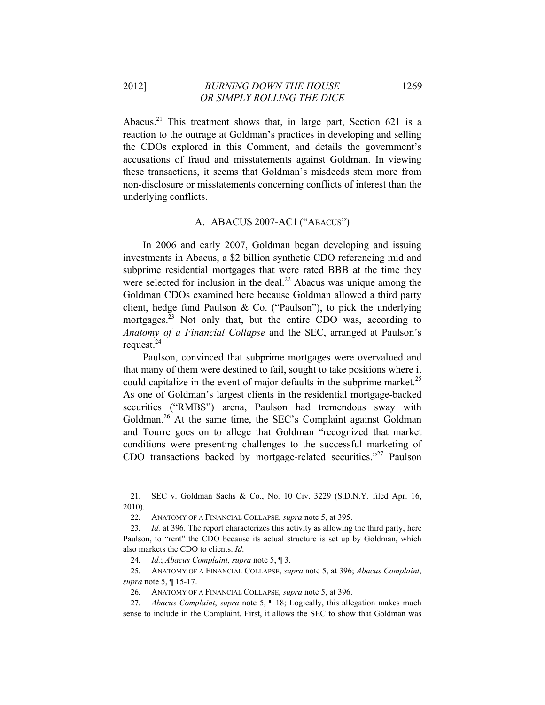Abacus.<sup>21</sup> This treatment shows that, in large part, Section 621 is a reaction to the outrage at Goldman's practices in developing and selling the CDOs explored in this Comment, and details the government's accusations of fraud and misstatements against Goldman. In viewing these transactions, it seems that Goldman's misdeeds stem more from non-disclosure or misstatements concerning conflicts of interest than the underlying conflicts.

#### A. ABACUS 2007-AC1 ("ABACUS")

In 2006 and early 2007, Goldman began developing and issuing investments in Abacus, a \$2 billion synthetic CDO referencing mid and subprime residential mortgages that were rated BBB at the time they were selected for inclusion in the deal. $^{22}$  Abacus was unique among the Goldman CDOs examined here because Goldman allowed a third party client, hedge fund Paulson & Co. ("Paulson"), to pick the underlying mortgages.<sup>23</sup> Not only that, but the entire CDO was, according to *Anatomy of a Financial Collapse* and the SEC, arranged at Paulson's request.<sup>24</sup>

Paulson, convinced that subprime mortgages were overvalued and that many of them were destined to fail, sought to take positions where it could capitalize in the event of major defaults in the subprime market.<sup>25</sup> As one of Goldman's largest clients in the residential mortgage-backed securities ("RMBS") arena, Paulson had tremendous sway with Goldman.<sup>26</sup> At the same time, the SEC's Complaint against Goldman and Tourre goes on to allege that Goldman "recognized that market conditions were presenting challenges to the successful marketing of CDO transactions backed by mortgage-related securities."<sup>27</sup> Paulson

24*. Id.*; *Abacus Complaint*, *supra* note 5, ¶ 3.

 $\overline{a}$ 

25*.* ANATOMY OF A FINANCIAL COLLAPSE, *supra* note 5, at 396; *Abacus Complaint*, *supra* note 5, ¶ 15-17.

26*.* ANATOMY OF A FINANCIAL COLLAPSE, *supra* note 5, at 396.

27*. Abacus Complaint*, *supra* note 5, ¶ 18; Logically, this allegation makes much sense to include in the Complaint. First, it allows the SEC to show that Goldman was

<sup>21.</sup> SEC v. Goldman Sachs & Co., No. 10 Civ. 3229 (S.D.N.Y. filed Apr. 16, 2010).

<sup>22</sup>*.* ANATOMY OF A FINANCIAL COLLAPSE, *supra* note 5, at 395.

<sup>23</sup>*. Id.* at 396. The report characterizes this activity as allowing the third party, here Paulson, to "rent" the CDO because its actual structure is set up by Goldman, which also markets the CDO to clients. *Id*.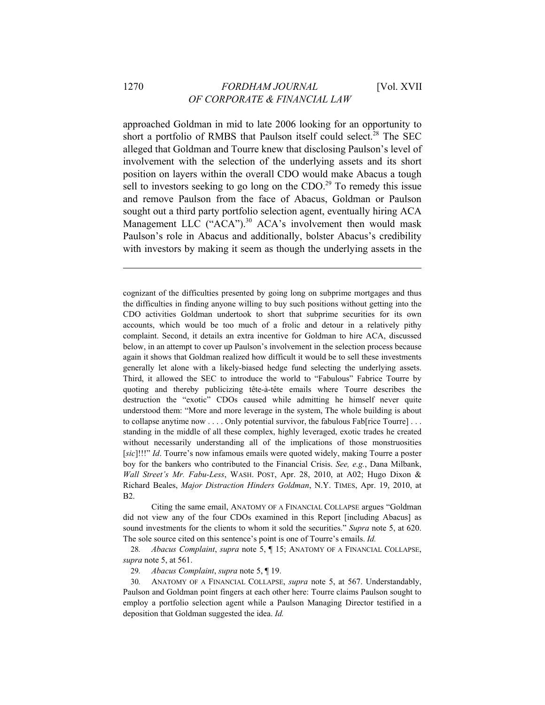approached Goldman in mid to late 2006 looking for an opportunity to short a portfolio of RMBS that Paulson itself could select.<sup>28</sup> The SEC alleged that Goldman and Tourre knew that disclosing Paulson's level of involvement with the selection of the underlying assets and its short position on layers within the overall CDO would make Abacus a tough sell to investors seeking to go long on the CDO.<sup>29</sup> To remedy this issue and remove Paulson from the face of Abacus, Goldman or Paulson sought out a third party portfolio selection agent, eventually hiring ACA Management LLC ("ACA").<sup>30</sup> ACA's involvement then would mask Paulson's role in Abacus and additionally, bolster Abacus's credibility with investors by making it seem as though the underlying assets in the

cognizant of the difficulties presented by going long on subprime mortgages and thus the difficulties in finding anyone willing to buy such positions without getting into the CDO activities Goldman undertook to short that subprime securities for its own accounts, which would be too much of a frolic and detour in a relatively pithy complaint. Second, it details an extra incentive for Goldman to hire ACA, discussed below, in an attempt to cover up Paulson's involvement in the selection process because again it shows that Goldman realized how difficult it would be to sell these investments generally let alone with a likely-biased hedge fund selecting the underlying assets. Third, it allowed the SEC to introduce the world to "Fabulous" Fabrice Tourre by quoting and thereby publicizing tête-à-tête emails where Tourre describes the destruction the "exotic" CDOs caused while admitting he himself never quite understood them: "More and more leverage in the system, The whole building is about to collapse anytime now . . . . Only potential survivor, the fabulous Fab[rice Tourre] . . . standing in the middle of all these complex, highly leveraged, exotic trades he created without necessarily understanding all of the implications of those monstruosities [*sic*]!!!" *Id*. Tourre's now infamous emails were quoted widely, making Tourre a poster boy for the bankers who contributed to the Financial Crisis. *See, e.g.*, Dana Milbank, *Wall Street's Mr. Fabu-Less*, WASH. POST, Apr. 28, 2010, at A02; Hugo Dixon & Richard Beales, *Major Distraction Hinders Goldman*, N.Y. TIMES, Apr. 19, 2010, at B2.

 Citing the same email, ANATOMY OF A FINANCIAL COLLAPSE argues "Goldman did not view any of the four CDOs examined in this Report [including Abacus] as sound investments for the clients to whom it sold the securities." *Supra* note 5, at 620. The sole source cited on this sentence's point is one of Tourre's emails. *Id.*

28*. Abacus Complaint*, *supra* note 5, ¶ 15; ANATOMY OF A FINANCIAL COLLAPSE, *supra* note 5, at 561.

29*. Abacus Complaint*, *supra* note 5, ¶ 19.

30*.* ANATOMY OF A FINANCIAL COLLAPSE, *supra* note 5, at 567. Understandably, Paulson and Goldman point fingers at each other here: Tourre claims Paulson sought to employ a portfolio selection agent while a Paulson Managing Director testified in a deposition that Goldman suggested the idea. *Id.*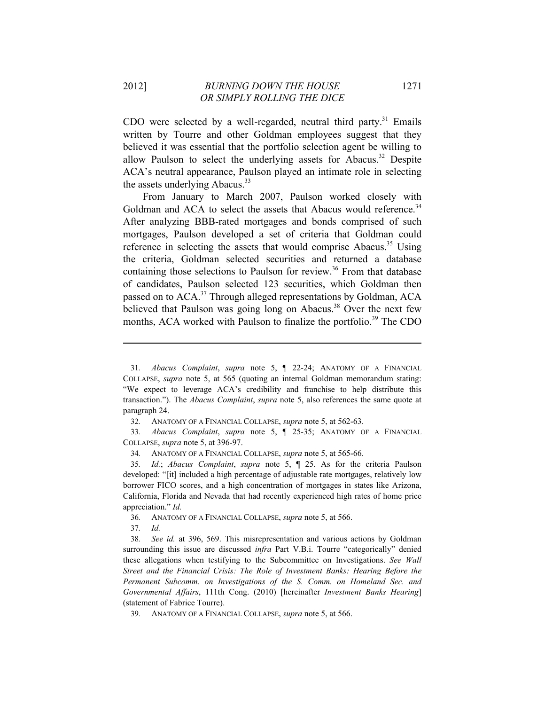CDO were selected by a well-regarded, neutral third party.<sup>31</sup> Emails written by Tourre and other Goldman employees suggest that they believed it was essential that the portfolio selection agent be willing to allow Paulson to select the underlying assets for Abacus.<sup>32</sup> Despite ACA's neutral appearance, Paulson played an intimate role in selecting the assets underlying Abacus.<sup>33</sup>

From January to March 2007, Paulson worked closely with Goldman and ACA to select the assets that Abacus would reference.<sup>34</sup> After analyzing BBB-rated mortgages and bonds comprised of such mortgages, Paulson developed a set of criteria that Goldman could reference in selecting the assets that would comprise Abacus.<sup>35</sup> Using the criteria, Goldman selected securities and returned a database containing those selections to Paulson for review.<sup>36</sup> From that database of candidates, Paulson selected 123 securities, which Goldman then passed on to ACA.<sup>37</sup> Through alleged representations by Goldman, ACA believed that Paulson was going long on Abacus.<sup>38</sup> Over the next few months, ACA worked with Paulson to finalize the portfolio.<sup>39</sup> The CDO

33*. Abacus Complaint*, *supra* note 5, ¶ 25-35; ANATOMY OF A FINANCIAL COLLAPSE, *supra* note 5, at 396-97.

36*.* ANATOMY OF A FINANCIAL COLLAPSE, *supra* note 5, at 566.

37*. Id.*

<sup>31</sup>*. Abacus Complaint*, *supra* note 5, ¶ 22-24; ANATOMY OF A FINANCIAL COLLAPSE, *supra* note 5, at 565 (quoting an internal Goldman memorandum stating: "We expect to leverage ACA's credibility and franchise to help distribute this transaction."). The *Abacus Complaint*, *supra* note 5, also references the same quote at paragraph 24.

<sup>32</sup>*.* ANATOMY OF A FINANCIAL COLLAPSE, *supra* note 5, at 562-63.

<sup>34</sup>*.* ANATOMY OF A FINANCIAL COLLAPSE, *supra* note 5, at 565-66.

<sup>35</sup>*. Id.*; *Abacus Complaint*, *supra* note 5, ¶ 25. As for the criteria Paulson developed: "[it] included a high percentage of adjustable rate mortgages, relatively low borrower FICO scores, and a high concentration of mortgages in states like Arizona, California, Florida and Nevada that had recently experienced high rates of home price appreciation." *Id.*

<sup>38</sup>*. See id.* at 396, 569. This misrepresentation and various actions by Goldman surrounding this issue are discussed *infra* Part V.B.i. Tourre "categorically" denied these allegations when testifying to the Subcommittee on Investigations. *See Wall Street and the Financial Crisis: The Role of Investment Banks: Hearing Before the Permanent Subcomm. on Investigations of the S. Comm. on Homeland Sec. and Governmental Affairs*, 111th Cong. (2010) [hereinafter *Investment Banks Hearing*] (statement of Fabrice Tourre).

<sup>39</sup>*.* ANATOMY OF A FINANCIAL COLLAPSE, *supra* note 5, at 566.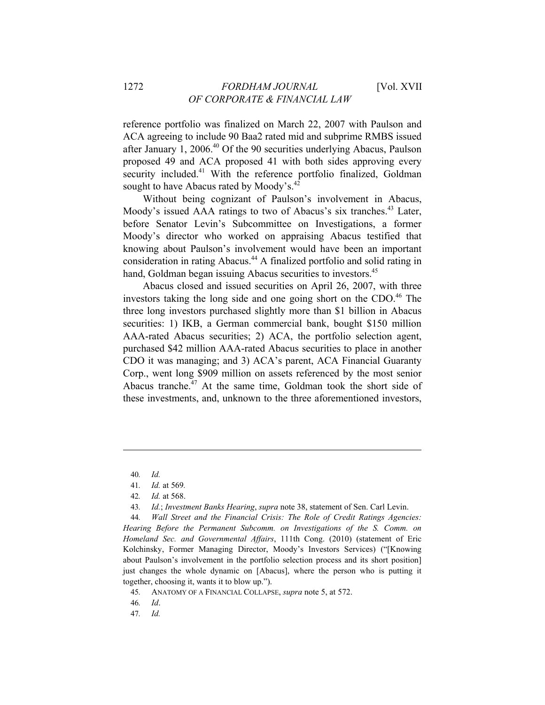reference portfolio was finalized on March 22, 2007 with Paulson and ACA agreeing to include 90 Baa2 rated mid and subprime RMBS issued after January 1, 2006.<sup>40</sup> Of the 90 securities underlying Abacus, Paulson proposed 49 and ACA proposed 41 with both sides approving every security included.<sup>41</sup> With the reference portfolio finalized, Goldman sought to have Abacus rated by Moody's.<sup>42</sup>

Without being cognizant of Paulson's involvement in Abacus, Moody's issued AAA ratings to two of Abacus's six tranches.<sup>43</sup> Later, before Senator Levin's Subcommittee on Investigations, a former Moody's director who worked on appraising Abacus testified that knowing about Paulson's involvement would have been an important consideration in rating Abacus.44 A finalized portfolio and solid rating in hand, Goldman began issuing Abacus securities to investors.<sup>45</sup>

Abacus closed and issued securities on April 26, 2007, with three investors taking the long side and one going short on the CDO. $46$  The three long investors purchased slightly more than \$1 billion in Abacus securities: 1) IKB, a German commercial bank, bought \$150 million AAA-rated Abacus securities; 2) ACA, the portfolio selection agent, purchased \$42 million AAA-rated Abacus securities to place in another CDO it was managing; and 3) ACA's parent, ACA Financial Guaranty Corp., went long \$909 million on assets referenced by the most senior Abacus tranche.47 At the same time, Goldman took the short side of these investments, and, unknown to the three aforementioned investors,

<sup>40</sup>*. Id.*

<sup>41</sup>*. Id.* at 569*.*

<sup>42</sup>*. Id.* at 568.

<sup>43</sup>*. Id.*; *Investment Banks Hearing*, *supra* note 38, statement of Sen. Carl Levin.

<sup>44</sup>*. Wall Street and the Financial Crisis: The Role of Credit Ratings Agencies: Hearing Before the Permanent Subcomm. on Investigations of the S. Comm. on Homeland Sec. and Governmental Affairs*, 111th Cong. (2010) (statement of Eric Kolchinsky, Former Managing Director, Moody's Investors Services) ("[Knowing about Paulson's involvement in the portfolio selection process and its short position] just changes the whole dynamic on [Abacus], where the person who is putting it together, choosing it, wants it to blow up.").

<sup>45</sup>*.* ANATOMY OF A FINANCIAL COLLAPSE, *supra* note 5, at 572.

<sup>46</sup>*. Id*.

<sup>47</sup>*. Id.*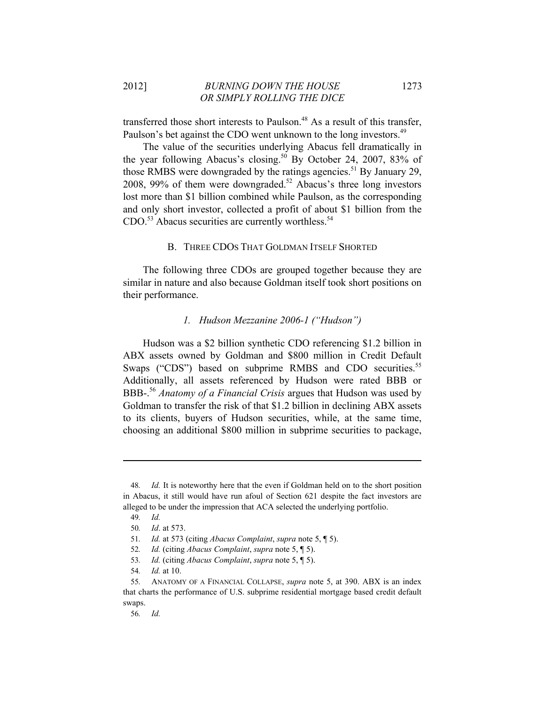transferred those short interests to Paulson.<sup>48</sup> As a result of this transfer, Paulson's bet against the CDO went unknown to the long investors.<sup>49</sup>

The value of the securities underlying Abacus fell dramatically in the year following Abacus's closing.<sup>50</sup> By October 24, 2007, 83% of those RMBS were downgraded by the ratings agencies.<sup>51</sup> By January 29, 2008, 99% of them were downgraded.<sup>52</sup> Abacus's three long investors lost more than \$1 billion combined while Paulson, as the corresponding and only short investor, collected a profit of about \$1 billion from the  $CDO<sup>53</sup>$  Abacus securities are currently worthless.<sup>54</sup>

#### B. THREE CDOS THAT GOLDMAN ITSELF SHORTED

The following three CDOs are grouped together because they are similar in nature and also because Goldman itself took short positions on their performance.

#### *1. Hudson Mezzanine 2006-1 ("Hudson")*

Hudson was a \$2 billion synthetic CDO referencing \$1.2 billion in ABX assets owned by Goldman and \$800 million in Credit Default Swaps ("CDS") based on subprime RMBS and CDO securities.<sup>55</sup> Additionally, all assets referenced by Hudson were rated BBB or BBB-.<sup>56</sup> Anatomy of a Financial Crisis argues that Hudson was used by Goldman to transfer the risk of that \$1.2 billion in declining ABX assets to its clients, buyers of Hudson securities, while, at the same time, choosing an additional \$800 million in subprime securities to package,

<sup>48</sup>*. Id.* It is noteworthy here that the even if Goldman held on to the short position in Abacus, it still would have run afoul of Section 621 despite the fact investors are alleged to be under the impression that ACA selected the underlying portfolio.

<sup>49</sup>*. Id.*

<sup>50</sup>*. Id*. at 573.

<sup>51</sup>*. Id.* at 573 (citing *Abacus Complaint*, *supra* note 5, ¶ 5).

<sup>52</sup>*. Id.* (citing *Abacus Complaint*, *supra* note 5, ¶ 5).

<sup>53</sup>*. Id.* (citing *Abacus Complaint*, *supra* note 5, ¶ 5).

<sup>54</sup>*. Id.* at 10.

<sup>55</sup>*.* ANATOMY OF A FINANCIAL COLLAPSE, *supra* note 5, at 390. ABX is an index that charts the performance of U.S. subprime residential mortgage based credit default swaps.

<sup>56</sup>*. Id.*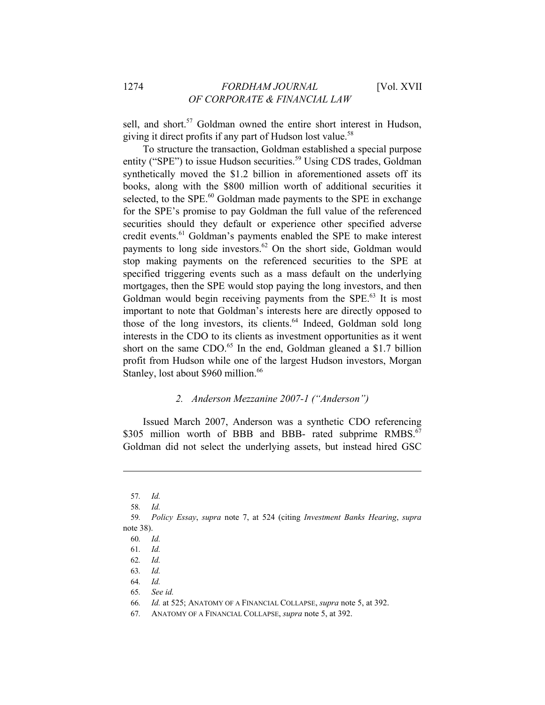sell, and short.<sup>57</sup> Goldman owned the entire short interest in Hudson, giving it direct profits if any part of Hudson lost value.<sup>58</sup>

To structure the transaction, Goldman established a special purpose entity ("SPE") to issue Hudson securities.<sup>59</sup> Using CDS trades, Goldman synthetically moved the \$1.2 billion in aforementioned assets off its books, along with the \$800 million worth of additional securities it selected, to the SPE.<sup>60</sup> Goldman made payments to the SPE in exchange for the SPE's promise to pay Goldman the full value of the referenced securities should they default or experience other specified adverse credit events.<sup>61</sup> Goldman's payments enabled the SPE to make interest payments to long side investors.<sup>62</sup> On the short side, Goldman would stop making payments on the referenced securities to the SPE at specified triggering events such as a mass default on the underlying mortgages, then the SPE would stop paying the long investors, and then Goldman would begin receiving payments from the SPE.<sup>63</sup> It is most important to note that Goldman's interests here are directly opposed to those of the long investors, its clients.<sup>64</sup> Indeed, Goldman sold long interests in the CDO to its clients as investment opportunities as it went short on the same CDO. $65$  In the end, Goldman gleaned a \$1.7 billion profit from Hudson while one of the largest Hudson investors, Morgan Stanley, lost about \$960 million.<sup>66</sup>

## *2. Anderson Mezzanine 2007-1 ("Anderson")*

Issued March 2007, Anderson was a synthetic CDO referencing \$305 million worth of BBB and BBB- rated subprime  $RMBS<sup>67</sup>$ Goldman did not select the underlying assets, but instead hired GSC

<sup>57</sup>*. Id.*

<sup>58</sup>*. Id.*

<sup>59</sup>*. Policy Essay*, *supra* note 7, at 524 (citing *Investment Banks Hearing*, *supra*  note 38).

<sup>60</sup>*. Id.*

<sup>61</sup>*. Id.*

<sup>62</sup>*. Id.*

<sup>63</sup>*. Id.*

<sup>64</sup>*. Id.*

<sup>65</sup>*. See id.*

<sup>66</sup>*. Id.* at 525; ANATOMY OF A FINANCIAL COLLAPSE, *supra* note 5, at 392.

<sup>67</sup>*.* ANATOMY OF A FINANCIAL COLLAPSE, *supra* note 5, at 392.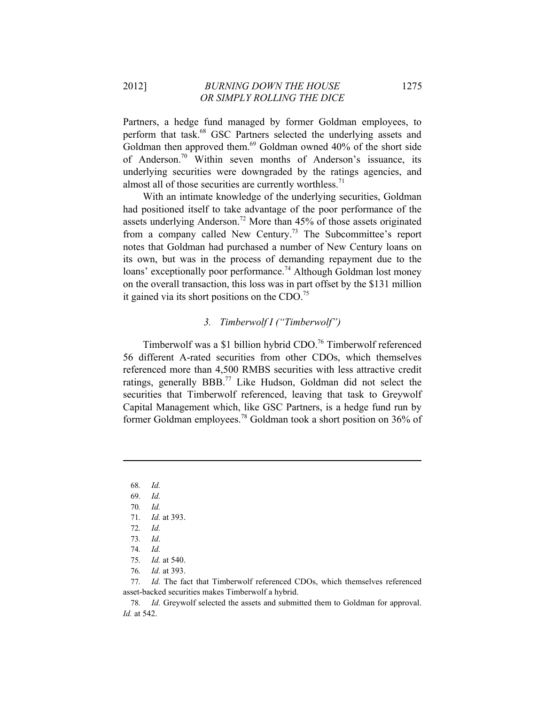Partners, a hedge fund managed by former Goldman employees, to perform that task.<sup>68</sup> GSC Partners selected the underlying assets and Goldman then approved them.<sup>69</sup> Goldman owned 40% of the short side of Anderson.70 Within seven months of Anderson's issuance, its underlying securities were downgraded by the ratings agencies, and almost all of those securities are currently worthless.<sup>71</sup>

With an intimate knowledge of the underlying securities, Goldman had positioned itself to take advantage of the poor performance of the assets underlying Anderson.<sup>72</sup> More than 45% of those assets originated from a company called New Century.<sup>73</sup> The Subcommittee's report notes that Goldman had purchased a number of New Century loans on its own, but was in the process of demanding repayment due to the loans' exceptionally poor performance.<sup>74</sup> Although Goldman lost money on the overall transaction, this loss was in part offset by the \$131 million it gained via its short positions on the CDO.75

#### *3. Timberwolf I ("Timberwolf")*

Timberwolf was a \$1 billion hybrid CDO.<sup>76</sup> Timberwolf referenced 56 different A-rated securities from other CDOs, which themselves referenced more than 4,500 RMBS securities with less attractive credit ratings, generally BBB.77 Like Hudson, Goldman did not select the securities that Timberwolf referenced, leaving that task to Greywolf Capital Management which, like GSC Partners, is a hedge fund run by former Goldman employees.78 Goldman took a short position on 36% of

 $\overline{a}$ 

76*. Id.* at 393.

<sup>68</sup>*. Id.*

<sup>69</sup>*. Id.*

<sup>70</sup>*. Id.*

<sup>71</sup>*. Id.* at 393.

<sup>72</sup>*. Id.*

<sup>73</sup>*. Id*.

<sup>74</sup>*. Id.*

<sup>75</sup>*. Id.* at 540.

<sup>77</sup>*. Id.* The fact that Timberwolf referenced CDOs, which themselves referenced asset-backed securities makes Timberwolf a hybrid.

<sup>78</sup>*. Id.* Greywolf selected the assets and submitted them to Goldman for approval. *Id.* at 542.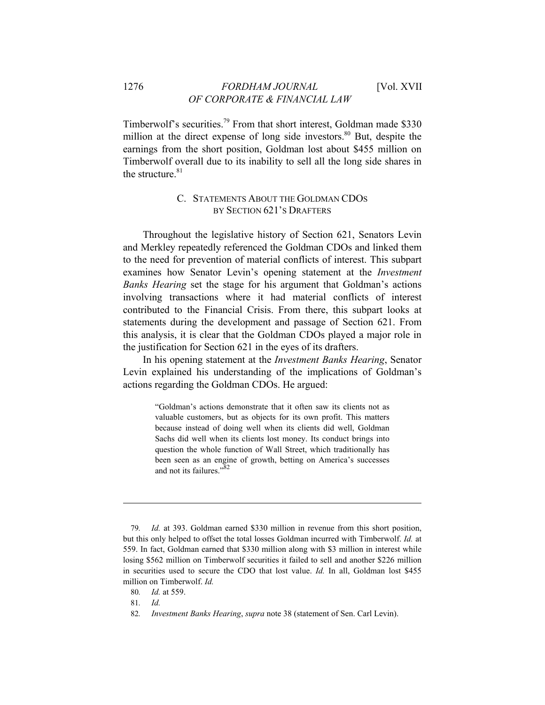#### 1276 *FORDHAM JOURNAL* [Vol. XVII *OF CORPORATE & FINANCIAL LAW*

Timberwolf's securities.<sup>79</sup> From that short interest, Goldman made \$330 million at the direct expense of long side investors.<sup>80</sup> But, despite the earnings from the short position, Goldman lost about \$455 million on Timberwolf overall due to its inability to sell all the long side shares in the structure. $81$ 

# C. STATEMENTS ABOUT THE GOLDMAN CDOS BY SECTION 621'S DRAFTERS

Throughout the legislative history of Section 621, Senators Levin and Merkley repeatedly referenced the Goldman CDOs and linked them to the need for prevention of material conflicts of interest. This subpart examines how Senator Levin's opening statement at the *Investment Banks Hearing* set the stage for his argument that Goldman's actions involving transactions where it had material conflicts of interest contributed to the Financial Crisis. From there, this subpart looks at statements during the development and passage of Section 621. From this analysis, it is clear that the Goldman CDOs played a major role in the justification for Section 621 in the eyes of its drafters.

In his opening statement at the *Investment Banks Hearing*, Senator Levin explained his understanding of the implications of Goldman's actions regarding the Goldman CDOs. He argued:

> "Goldman's actions demonstrate that it often saw its clients not as valuable customers, but as objects for its own profit. This matters because instead of doing well when its clients did well, Goldman Sachs did well when its clients lost money. Its conduct brings into question the whole function of Wall Street, which traditionally has been seen as an engine of growth, betting on America's successes and not its failures."<sup>82</sup>

<sup>79</sup>*. Id.* at 393. Goldman earned \$330 million in revenue from this short position, but this only helped to offset the total losses Goldman incurred with Timberwolf. *Id.* at 559. In fact, Goldman earned that \$330 million along with \$3 million in interest while losing \$562 million on Timberwolf securities it failed to sell and another \$226 million in securities used to secure the CDO that lost value. *Id.* In all, Goldman lost \$455 million on Timberwolf. *Id.*

<sup>80</sup>*. Id.* at 559.

<sup>81</sup>*. Id.*

<sup>82</sup>*. Investment Banks Hearing*, *supra* note 38 (statement of Sen. Carl Levin).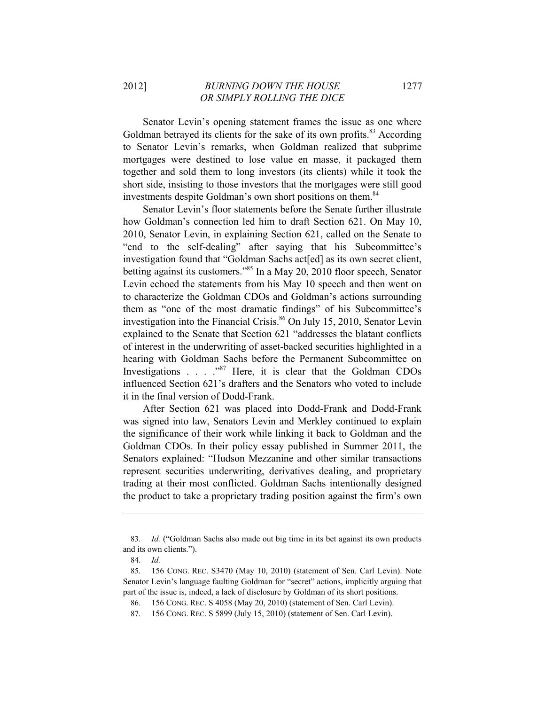Senator Levin's opening statement frames the issue as one where Goldman betrayed its clients for the sake of its own profits.<sup>83</sup> According to Senator Levin's remarks, when Goldman realized that subprime mortgages were destined to lose value en masse, it packaged them together and sold them to long investors (its clients) while it took the short side, insisting to those investors that the mortgages were still good investments despite Goldman's own short positions on them.<sup>84</sup>

Senator Levin's floor statements before the Senate further illustrate how Goldman's connection led him to draft Section 621. On May 10, 2010, Senator Levin, in explaining Section 621, called on the Senate to "end to the self-dealing" after saying that his Subcommittee's investigation found that "Goldman Sachs act[ed] as its own secret client, betting against its customers."<sup>85</sup> In a May 20, 2010 floor speech, Senator Levin echoed the statements from his May 10 speech and then went on to characterize the Goldman CDOs and Goldman's actions surrounding them as "one of the most dramatic findings" of his Subcommittee's investigation into the Financial Crisis. $86$  On July 15, 2010, Senator Levin explained to the Senate that Section 621 "addresses the blatant conflicts of interest in the underwriting of asset-backed securities highlighted in a hearing with Goldman Sachs before the Permanent Subcommittee on Investigations . . . ."87 Here, it is clear that the Goldman CDOs influenced Section 621's drafters and the Senators who voted to include it in the final version of Dodd-Frank.

After Section 621 was placed into Dodd-Frank and Dodd-Frank was signed into law, Senators Levin and Merkley continued to explain the significance of their work while linking it back to Goldman and the Goldman CDOs. In their policy essay published in Summer 2011, the Senators explained: "Hudson Mezzanine and other similar transactions represent securities underwriting, derivatives dealing, and proprietary trading at their most conflicted. Goldman Sachs intentionally designed the product to take a proprietary trading position against the firm's own

<sup>83</sup>*. Id.* ("Goldman Sachs also made out big time in its bet against its own products and its own clients.").

<sup>84</sup>*. Id.*

<sup>85. 156</sup> CONG. REC. S3470 (May 10, 2010) (statement of Sen. Carl Levin). Note Senator Levin's language faulting Goldman for "secret" actions, implicitly arguing that part of the issue is, indeed, a lack of disclosure by Goldman of its short positions.

<sup>86. 156</sup> CONG. REC. S 4058 (May 20, 2010) (statement of Sen. Carl Levin).

<sup>87. 156</sup> CONG. REC. S 5899 (July 15, 2010) (statement of Sen. Carl Levin).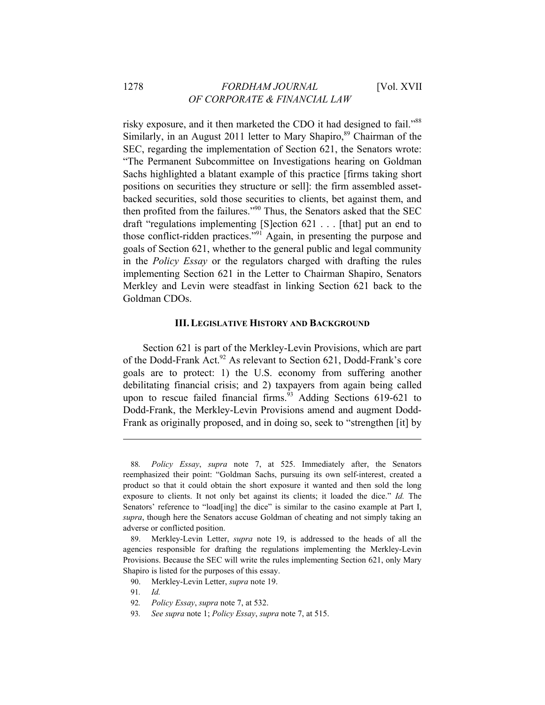risky exposure, and it then marketed the CDO it had designed to fail."88 Similarly, in an August 2011 letter to Mary Shapiro,<sup>89</sup> Chairman of the SEC, regarding the implementation of Section 621, the Senators wrote: "The Permanent Subcommittee on Investigations hearing on Goldman Sachs highlighted a blatant example of this practice [firms taking short positions on securities they structure or sell]: the firm assembled assetbacked securities, sold those securities to clients, bet against them, and then profited from the failures."90 Thus, the Senators asked that the SEC draft "regulations implementing [S]ection 621 . . . [that] put an end to those conflict-ridden practices."91 Again, in presenting the purpose and goals of Section 621, whether to the general public and legal community in the *Policy Essay* or the regulators charged with drafting the rules implementing Section 621 in the Letter to Chairman Shapiro, Senators Merkley and Levin were steadfast in linking Section 621 back to the Goldman CDOs.

#### **III. LEGISLATIVE HISTORY AND BACKGROUND**

Section 621 is part of the Merkley-Levin Provisions, which are part of the Dodd-Frank Act.<sup>92</sup> As relevant to Section 621, Dodd-Frank's core goals are to protect: 1) the U.S. economy from suffering another debilitating financial crisis; and 2) taxpayers from again being called upon to rescue failed financial firms. $93$  Adding Sections 619-621 to Dodd-Frank, the Merkley-Levin Provisions amend and augment Dodd-Frank as originally proposed, and in doing so, seek to "strengthen [it] by

<sup>88</sup>*. Policy Essay*, *supra* note 7, at 525. Immediately after, the Senators reemphasized their point: "Goldman Sachs, pursuing its own self-interest, created a product so that it could obtain the short exposure it wanted and then sold the long exposure to clients. It not only bet against its clients; it loaded the dice." *Id.* The Senators' reference to "load[ing] the dice" is similar to the casino example at Part I, *supra*, though here the Senators accuse Goldman of cheating and not simply taking an adverse or conflicted position.

<sup>89.</sup> Merkley-Levin Letter, *supra* note 19, is addressed to the heads of all the agencies responsible for drafting the regulations implementing the Merkley-Levin Provisions. Because the SEC will write the rules implementing Section 621, only Mary Shapiro is listed for the purposes of this essay.

<sup>90.</sup> Merkley-Levin Letter, *supra* note 19.

<sup>91</sup>*. Id.*

<sup>92</sup>*. Policy Essay*, *supra* note 7, at 532.

<sup>93</sup>*. See supra* note 1; *Policy Essay*, *supra* note 7, at 515.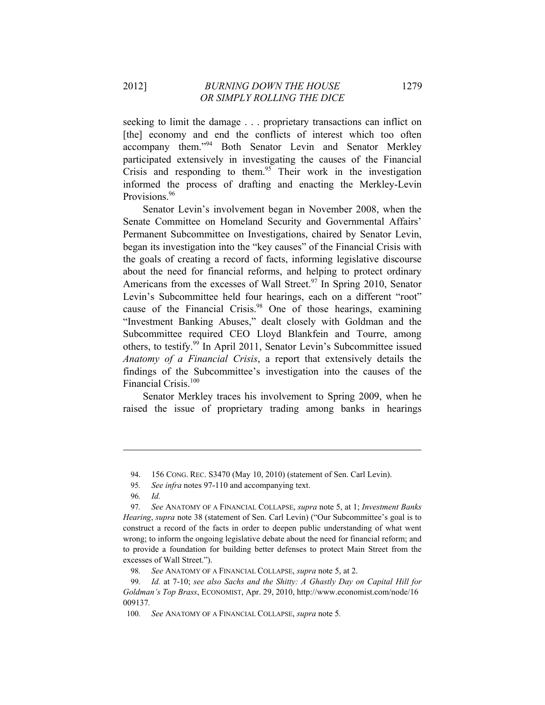seeking to limit the damage . . . proprietary transactions can inflict on [the] economy and end the conflicts of interest which too often accompany them."94 Both Senator Levin and Senator Merkley participated extensively in investigating the causes of the Financial Crisis and responding to them.<sup>95</sup> Their work in the investigation informed the process of drafting and enacting the Merkley-Levin Provisions.<sup>96</sup>

Senator Levin's involvement began in November 2008, when the Senate Committee on Homeland Security and Governmental Affairs' Permanent Subcommittee on Investigations, chaired by Senator Levin, began its investigation into the "key causes" of the Financial Crisis with the goals of creating a record of facts, informing legislative discourse about the need for financial reforms, and helping to protect ordinary Americans from the excesses of Wall Street.<sup>97</sup> In Spring 2010, Senator Levin's Subcommittee held four hearings, each on a different "root" cause of the Financial Crisis.<sup>98</sup> One of those hearings, examining "Investment Banking Abuses," dealt closely with Goldman and the Subcommittee required CEO Lloyd Blankfein and Tourre, among others, to testify.<sup>99</sup> In April 2011, Senator Levin's Subcommittee issued *Anatomy of a Financial Crisis*, a report that extensively details the findings of the Subcommittee's investigation into the causes of the Financial Crisis.<sup>100</sup>

Senator Merkley traces his involvement to Spring 2009, when he raised the issue of proprietary trading among banks in hearings

<sup>94. 156</sup> CONG. REC. S3470 (May 10, 2010) (statement of Sen. Carl Levin).

<sup>95</sup>*. See infra* notes 97-110 and accompanying text.

<sup>96</sup>*. Id.*

<sup>97</sup>*. See* ANATOMY OF A FINANCIAL COLLAPSE, *supra* note 5, at 1; *Investment Banks Hearing*, *supra* note 38 (statement of Sen. Carl Levin) ("Our Subcommittee's goal is to construct a record of the facts in order to deepen public understanding of what went wrong; to inform the ongoing legislative debate about the need for financial reform; and to provide a foundation for building better defenses to protect Main Street from the excesses of Wall Street.").

<sup>98</sup>*. See* ANATOMY OF A FINANCIAL COLLAPSE, *supra* note 5, at 2.

<sup>99</sup>*. Id.* at 7-10; *see also Sachs and the Shitty: A Ghastly Day on Capital Hill for Goldman's Top Brass*, ECONOMIST, Apr. 29, 2010, http://www.economist.com/node/16 009137*.*

<sup>100</sup>*. See* ANATOMY OF A FINANCIAL COLLAPSE, *supra* note 5*.*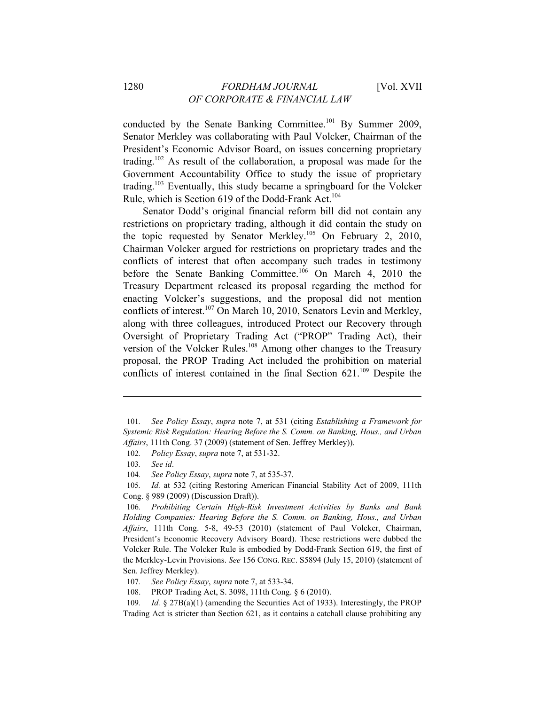conducted by the Senate Banking Committee.<sup>101</sup> By Summer 2009, Senator Merkley was collaborating with Paul Volcker, Chairman of the President's Economic Advisor Board, on issues concerning proprietary trading.102 As result of the collaboration, a proposal was made for the Government Accountability Office to study the issue of proprietary trading.<sup>103</sup> Eventually, this study became a springboard for the Volcker Rule, which is Section 619 of the Dodd-Frank Act.<sup>104</sup>

Senator Dodd's original financial reform bill did not contain any restrictions on proprietary trading, although it did contain the study on the topic requested by Senator Merkley.<sup>105</sup> On February 2, 2010, Chairman Volcker argued for restrictions on proprietary trades and the conflicts of interest that often accompany such trades in testimony before the Senate Banking Committee.<sup>106</sup> On March 4, 2010 the Treasury Department released its proposal regarding the method for enacting Volcker's suggestions, and the proposal did not mention conflicts of interest.<sup>107</sup> On March 10, 2010, Senators Levin and Merkley, along with three colleagues, introduced Protect our Recovery through Oversight of Proprietary Trading Act ("PROP" Trading Act), their version of the Volcker Rules.<sup>108</sup> Among other changes to the Treasury proposal, the PROP Trading Act included the prohibition on material conflicts of interest contained in the final Section  $621$ <sup>109</sup> Despite the

 $\overline{a}$ 

105*. Id.* at 532 (citing Restoring American Financial Stability Act of 2009, 111th Cong. § 989 (2009) (Discussion Draft)).

- 107*. See Policy Essay*, *supra* note 7, at 533-34.
- 108. PROP Trading Act, S. 3098, 111th Cong. § 6 (2010).

<sup>101</sup>*. See Policy Essay*, *supra* note 7, at 531 (citing *Establishing a Framework for Systemic Risk Regulation: Hearing Before the S. Comm. on Banking, Hous., and Urban Affairs*, 111th Cong. 37 (2009) (statement of Sen. Jeffrey Merkley)).

<sup>102</sup>*. Policy Essay*, *supra* note 7, at 531-32.

<sup>103</sup>*. See id*.

<sup>104</sup>*. See Policy Essay*, *supra* note 7, at 535-37.

<sup>106</sup>*. Prohibiting Certain High-Risk Investment Activities by Banks and Bank Holding Companies: Hearing Before the S. Comm. on Banking, Hous., and Urban Affairs*, 111th Cong. 5-8, 49-53 (2010) (statement of Paul Volcker, Chairman, President's Economic Recovery Advisory Board). These restrictions were dubbed the Volcker Rule. The Volcker Rule is embodied by Dodd-Frank Section 619, the first of the Merkley-Levin Provisions. *See* 156 CONG. REC. S5894 (July 15, 2010) (statement of Sen. Jeffrey Merkley).

<sup>109</sup>*. Id.* § 27B(a)(1) (amending the Securities Act of 1933). Interestingly, the PROP Trading Act is stricter than Section 621, as it contains a catchall clause prohibiting any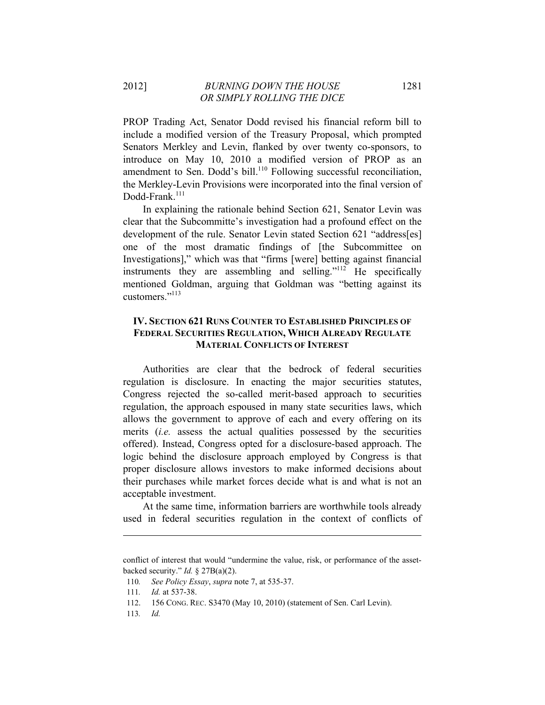PROP Trading Act, Senator Dodd revised his financial reform bill to include a modified version of the Treasury Proposal, which prompted Senators Merkley and Levin, flanked by over twenty co-sponsors, to introduce on May 10, 2010 a modified version of PROP as an amendment to Sen. Dodd's bill.<sup>110</sup> Following successful reconciliation, the Merkley-Levin Provisions were incorporated into the final version of Dodd-Frank.<sup>111</sup>

In explaining the rationale behind Section 621, Senator Levin was clear that the Subcommitte's investigation had a profound effect on the development of the rule. Senator Levin stated Section 621 "address[es] one of the most dramatic findings of [the Subcommittee on Investigations]," which was that "firms [were] betting against financial instruments they are assembling and selling."<sup>112</sup> He specifically mentioned Goldman, arguing that Goldman was "betting against its customers<sup>"113</sup>

# **IV. SECTION 621 RUNS COUNTER TO ESTABLISHED PRINCIPLES OF FEDERAL SECURITIES REGULATION, WHICH ALREADY REGULATE MATERIAL CONFLICTS OF INTEREST**

Authorities are clear that the bedrock of federal securities regulation is disclosure. In enacting the major securities statutes, Congress rejected the so-called merit-based approach to securities regulation, the approach espoused in many state securities laws, which allows the government to approve of each and every offering on its merits (*i.e.* assess the actual qualities possessed by the securities offered). Instead, Congress opted for a disclosure-based approach. The logic behind the disclosure approach employed by Congress is that proper disclosure allows investors to make informed decisions about their purchases while market forces decide what is and what is not an acceptable investment.

At the same time, information barriers are worthwhile tools already used in federal securities regulation in the context of conflicts of

conflict of interest that would "undermine the value, risk, or performance of the assetbacked security." *Id.* § 27B(a)(2).

<sup>110</sup>*. See Policy Essay*, *supra* note 7, at 535-37.

<sup>111</sup>*. Id.* at 537-38.

<sup>112. 156</sup> CONG. REC. S3470 (May 10, 2010) (statement of Sen. Carl Levin).

<sup>113</sup>*. Id.*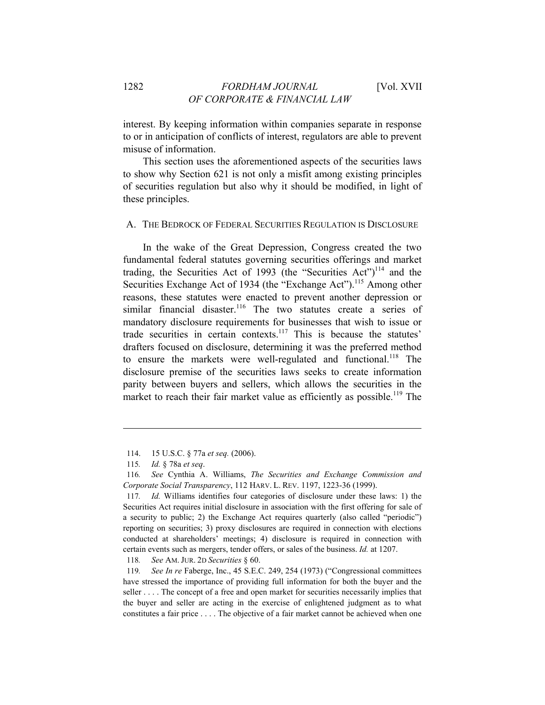interest. By keeping information within companies separate in response to or in anticipation of conflicts of interest, regulators are able to prevent misuse of information.

This section uses the aforementioned aspects of the securities laws to show why Section 621 is not only a misfit among existing principles of securities regulation but also why it should be modified, in light of these principles.

#### A. THE BEDROCK OF FEDERAL SECURITIES REGULATION IS DISCLOSURE

In the wake of the Great Depression, Congress created the two fundamental federal statutes governing securities offerings and market trading, the Securities Act of 1993 (the "Securities Act")<sup>114</sup> and the Securities Exchange Act of 1934 (the "Exchange Act").<sup>115</sup> Among other reasons, these statutes were enacted to prevent another depression or similar financial disaster.<sup>116</sup> The two statutes create a series of mandatory disclosure requirements for businesses that wish to issue or trade securities in certain contexts.<sup>117</sup> This is because the statutes' drafters focused on disclosure, determining it was the preferred method to ensure the markets were well-regulated and functional.<sup>118</sup> The disclosure premise of the securities laws seeks to create information parity between buyers and sellers, which allows the securities in the market to reach their fair market value as efficiently as possible.<sup>119</sup> The

 $\overline{a}$ 

118*. See* AM. JUR. 2D *Securities* § 60.

119*. See In re* Faberge, Inc., 45 S.E.C. 249, 254 (1973) ("Congressional committees have stressed the importance of providing full information for both the buyer and the seller . . . . The concept of a free and open market for securities necessarily implies that the buyer and seller are acting in the exercise of enlightened judgment as to what constitutes a fair price . . . . The objective of a fair market cannot be achieved when one

<sup>114. 15</sup> U.S.C. § 77a *et seq.* (2006).

<sup>115</sup>*. Id.* § 78a *et seq*.

<sup>116</sup>*. See* Cynthia A. Williams, *The Securities and Exchange Commission and Corporate Social Transparency*, 112 HARV. L. REV. 1197, 1223-36 (1999).

<sup>117</sup>*. Id.* Williams identifies four categories of disclosure under these laws: 1) the Securities Act requires initial disclosure in association with the first offering for sale of a security to public; 2) the Exchange Act requires quarterly (also called "periodic") reporting on securities; 3) proxy disclosures are required in connection with elections conducted at shareholders' meetings; 4) disclosure is required in connection with certain events such as mergers, tender offers, or sales of the business. *Id.* at 1207.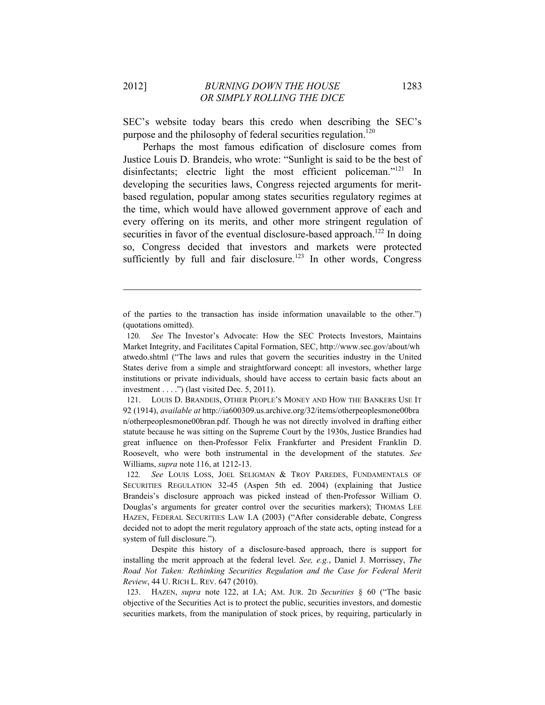SEC's website today bears this credo when describing the SEC's purpose and the philosophy of federal securities regulation.<sup>120</sup>

Perhaps the most famous edification of disclosure comes from Justice Louis D. Brandeis, who wrote: "Sunlight is said to be the best of disinfectants; electric light the most efficient policeman."<sup>121</sup> In developing the securities laws, Congress rejected arguments for meritbased regulation, popular among states securities regulatory regimes at the time, which would have allowed government approve of each and every offering on its merits, and other more stringent regulation of securities in favor of the eventual disclosure-based approach.<sup>122</sup> In doing so, Congress decided that investors and markets were protected sufficiently by full and fair disclosure.<sup>123</sup> In other words, Congress

of the parties to the transaction has inside information unavailable to the other.") (quotations omitted).

<sup>120</sup>*. See* The Investor's Advocate: How the SEC Protects Investors, Maintains Market Integrity, and Facilitates Capital Formation, SEC, http://www.sec.gov/about/wh atwedo.shtml ("The laws and rules that govern the securities industry in the United States derive from a simple and straightforward concept: all investors, whether large institutions or private individuals, should have access to certain basic facts about an investment  $\dots$ .") (last visited Dec. 5, 2011).

<sup>121.</sup> LOUIS D. BRANDEIS, OTHER PEOPLE'S MONEY AND HOW THE BANKERS USE IT 92 (1914), *available at* http://ia600309.us.archive.org/32/items/otherpeoplesmone00bra n/otherpeoplesmone00bran.pdf. Though he was not directly involved in drafting either statute because he was sitting on the Supreme Court by the 1930s, Justice Brandies had great influence on then-Professor Felix Frankfurter and President Franklin D. Roosevelt, who were both instrumental in the development of the statutes. *See*  Williams, *supra* note 116, at 1212-13.

<sup>122</sup>*. See* LOUIS LOSS, JOEL SELIGMAN & TROY PAREDES, FUNDAMENTALS OF SECURITIES REGULATION 32-45 (Aspen 5th ed. 2004) (explaining that Justice Brandeis's disclosure approach was picked instead of then-Professor William O. Douglas's arguments for greater control over the securities markers); THOMAS LEE HAZEN, FEDERAL SECURITIES LAW I.A (2003) ("After considerable debate, Congress decided not to adopt the merit regulatory approach of the state acts, opting instead for a system of full disclosure.").

Despite this history of a disclosure-based approach, there is support for installing the merit approach at the federal level. *See, e.g.*, Daniel J. Morrissey, *The Road Not Taken: Rethinking Securities Regulation and the Case for Federal Merit Review*, 44 U. RICH L. REV. 647 (2010).

<sup>123.</sup> HAZEN, *supra* note 122, at I.A; AM. JUR. 2D *Securities* § 60 ("The basic objective of the Securities Act is to protect the public, securities investors, and domestic securities markets, from the manipulation of stock prices, by requiring, particularly in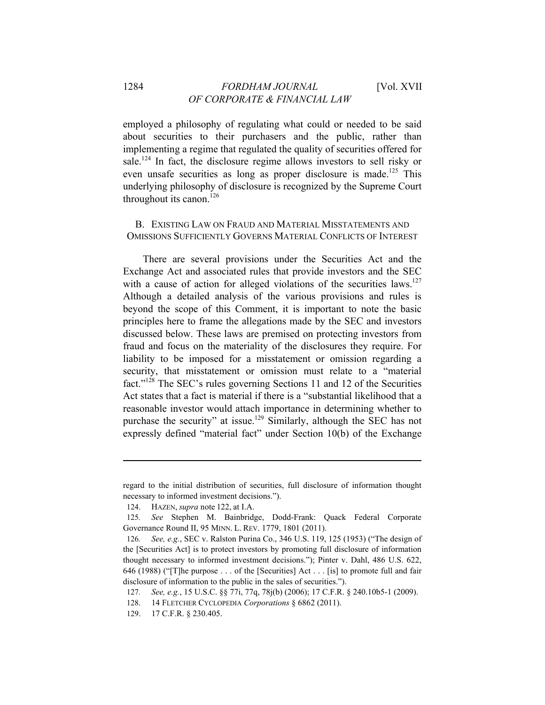employed a philosophy of regulating what could or needed to be said about securities to their purchasers and the public, rather than implementing a regime that regulated the quality of securities offered for sale.<sup>124</sup> In fact, the disclosure regime allows investors to sell risky or even unsafe securities as long as proper disclosure is made.<sup>125</sup> This underlying philosophy of disclosure is recognized by the Supreme Court throughout its canon.<sup>126</sup>

B. EXISTING LAW ON FRAUD AND MATERIAL MISSTATEMENTS AND OMISSIONS SUFFICIENTLY GOVERNS MATERIAL CONFLICTS OF INTEREST

There are several provisions under the Securities Act and the Exchange Act and associated rules that provide investors and the SEC with a cause of action for alleged violations of the securities laws.<sup>127</sup> Although a detailed analysis of the various provisions and rules is beyond the scope of this Comment, it is important to note the basic principles here to frame the allegations made by the SEC and investors discussed below. These laws are premised on protecting investors from fraud and focus on the materiality of the disclosures they require. For liability to be imposed for a misstatement or omission regarding a security, that misstatement or omission must relate to a "material fact."128 The SEC's rules governing Sections 11 and 12 of the Securities Act states that a fact is material if there is a "substantial likelihood that a reasonable investor would attach importance in determining whether to purchase the security" at issue.129 Similarly, although the SEC has not expressly defined "material fact" under Section 10(b) of the Exchange

regard to the initial distribution of securities, full disclosure of information thought necessary to informed investment decisions.").

<sup>124.</sup> HAZEN, *supra* note 122, at I.A.

<sup>125</sup>*. See* Stephen M. Bainbridge, Dodd-Frank: Quack Federal Corporate Governance Round II, 95 MINN. L. REV. 1779, 1801 (2011).

<sup>126</sup>*. See, e.g.*, SEC v. Ralston Purina Co., 346 U.S. 119, 125 (1953) ("The design of the [Securities Act] is to protect investors by promoting full disclosure of information thought necessary to informed investment decisions."); Pinter v. Dahl, 486 U.S. 622, 646 (1988) ("[T]he purpose . . . of the [Securities] Act . . . [is] to promote full and fair disclosure of information to the public in the sales of securities.").

<sup>127</sup>*. See, e.g.*, 15 U.S.C. §§ 77i, 77q, 78j(b) (2006); 17 C.F.R. § 240.10b5-1 (2009).

<sup>128. 14</sup> FLETCHER CYCLOPEDIA *Corporations* § 6862 (2011).

<sup>129. 17</sup> C.F.R. § 230.405.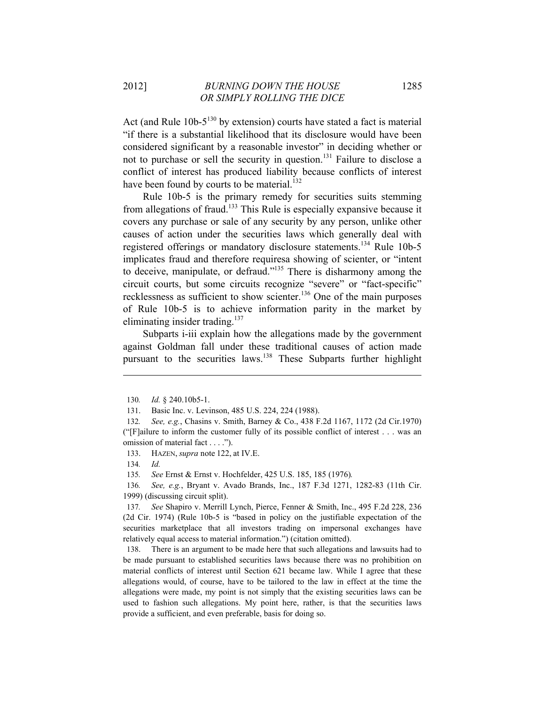Act (and Rule  $10b-5^{130}$  by extension) courts have stated a fact is material "if there is a substantial likelihood that its disclosure would have been considered significant by a reasonable investor" in deciding whether or not to purchase or sell the security in question.<sup>131</sup> Failure to disclose a conflict of interest has produced liability because conflicts of interest have been found by courts to be material.<sup>132</sup>

Rule 10b-5 is the primary remedy for securities suits stemming from allegations of fraud.133 This Rule is especially expansive because it covers any purchase or sale of any security by any person, unlike other causes of action under the securities laws which generally deal with registered offerings or mandatory disclosure statements.<sup>134</sup> Rule 10b-5 implicates fraud and therefore requiresa showing of scienter, or "intent to deceive, manipulate, or defraud."135 There is disharmony among the circuit courts, but some circuits recognize "severe" or "fact-specific" recklessness as sufficient to show scienter.<sup>136</sup> One of the main purposes of Rule 10b-5 is to achieve information parity in the market by eliminating insider trading. $137$ 

Subparts i-iii explain how the allegations made by the government against Goldman fall under these traditional causes of action made pursuant to the securities laws.<sup>138</sup> These Subparts further highlight

 $\overline{a}$ 

135*. See* Ernst & Ernst v. Hochfelder, 425 U.S. 185, 185 (1976)*.*

136*. See, e.g.*, Bryant v. Avado Brands, Inc., 187 F.3d 1271, 1282-83 (11th Cir. 1999) (discussing circuit split).

137*. See* Shapiro v. Merrill Lynch, Pierce, Fenner & Smith, Inc., 495 F.2d 228, 236 (2d Cir. 1974) (Rule 10b-5 is "based in policy on the justifiable expectation of the securities marketplace that all investors trading on impersonal exchanges have relatively equal access to material information.") (citation omitted).

138. There is an argument to be made here that such allegations and lawsuits had to be made pursuant to established securities laws because there was no prohibition on material conflicts of interest until Section 621 became law. While I agree that these allegations would, of course, have to be tailored to the law in effect at the time the allegations were made, my point is not simply that the existing securities laws can be used to fashion such allegations. My point here, rather, is that the securities laws provide a sufficient, and even preferable, basis for doing so.

<sup>130</sup>*. Id.* § 240.10b5-1.

<sup>131.</sup> Basic Inc. v. Levinson, 485 U.S. 224, 224 (1988).

<sup>132</sup>*. See, e.g.*, Chasins v. Smith, Barney & Co., 438 F.2d 1167, 1172 (2d Cir.1970) ("[F]ailure to inform the customer fully of its possible conflict of interest . . . was an omission of material fact . . . .").

<sup>133.</sup> HAZEN, *supra* note 122, at IV.E.

<sup>134</sup>*. Id.*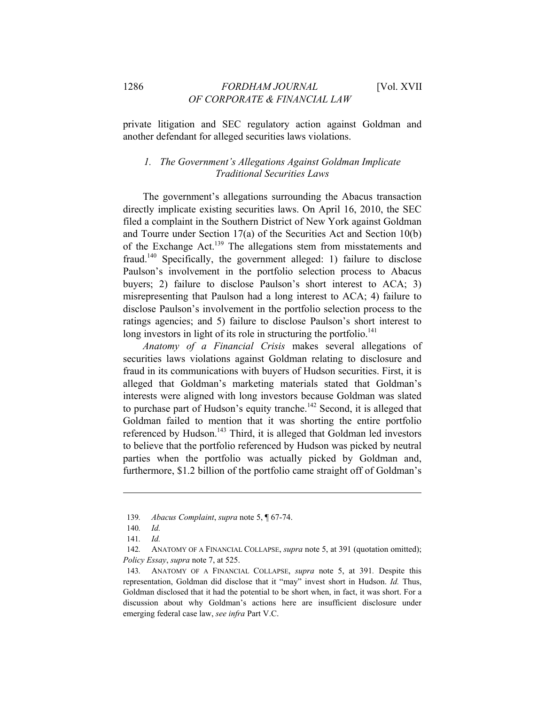private litigation and SEC regulatory action against Goldman and another defendant for alleged securities laws violations.

#### *1. The Government's Allegations Against Goldman Implicate Traditional Securities Laws*

The government's allegations surrounding the Abacus transaction directly implicate existing securities laws. On April 16, 2010, the SEC filed a complaint in the Southern District of New York against Goldman and Tourre under Section 17(a) of the Securities Act and Section 10(b) of the Exchange Act.139 The allegations stem from misstatements and fraud.140 Specifically, the government alleged: 1) failure to disclose Paulson's involvement in the portfolio selection process to Abacus buyers; 2) failure to disclose Paulson's short interest to ACA; 3) misrepresenting that Paulson had a long interest to ACA; 4) failure to disclose Paulson's involvement in the portfolio selection process to the ratings agencies; and 5) failure to disclose Paulson's short interest to long investors in light of its role in structuring the portfolio.<sup>141</sup>

*Anatomy of a Financial Crisis* makes several allegations of securities laws violations against Goldman relating to disclosure and fraud in its communications with buyers of Hudson securities. First, it is alleged that Goldman's marketing materials stated that Goldman's interests were aligned with long investors because Goldman was slated to purchase part of Hudson's equity tranche.<sup>142</sup> Second, it is alleged that Goldman failed to mention that it was shorting the entire portfolio referenced by Hudson.<sup>143</sup> Third, it is alleged that Goldman led investors to believe that the portfolio referenced by Hudson was picked by neutral parties when the portfolio was actually picked by Goldman and, furthermore, \$1.2 billion of the portfolio came straight off of Goldman's

<sup>139</sup>*. Abacus Complaint*, *supra* note 5, ¶ 67-74.

<sup>140</sup>*. Id.*

<sup>141</sup>*. Id.*

<sup>142</sup>*.* ANATOMY OF A FINANCIAL COLLAPSE, *supra* note 5, at 391 (quotation omitted); *Policy Essay*, *supra* note 7, at 525.

<sup>143</sup>*.* ANATOMY OF A FINANCIAL COLLAPSE, *supra* note 5, at 391*.* Despite this representation, Goldman did disclose that it "may" invest short in Hudson. *Id.* Thus, Goldman disclosed that it had the potential to be short when, in fact, it was short. For a discussion about why Goldman's actions here are insufficient disclosure under emerging federal case law, *see infra* Part V.C.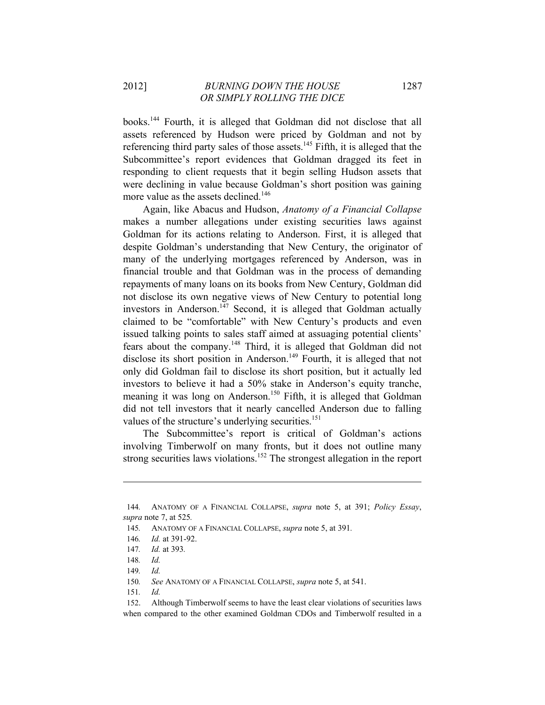books.144 Fourth, it is alleged that Goldman did not disclose that all assets referenced by Hudson were priced by Goldman and not by referencing third party sales of those assets.<sup>145</sup> Fifth, it is alleged that the Subcommittee's report evidences that Goldman dragged its feet in responding to client requests that it begin selling Hudson assets that were declining in value because Goldman's short position was gaining more value as the assets declined.<sup>146</sup>

Again, like Abacus and Hudson, *Anatomy of a Financial Collapse* makes a number allegations under existing securities laws against Goldman for its actions relating to Anderson. First, it is alleged that despite Goldman's understanding that New Century, the originator of many of the underlying mortgages referenced by Anderson, was in financial trouble and that Goldman was in the process of demanding repayments of many loans on its books from New Century, Goldman did not disclose its own negative views of New Century to potential long investors in Anderson.<sup>147</sup> Second, it is alleged that Goldman actually claimed to be "comfortable" with New Century's products and even issued talking points to sales staff aimed at assuaging potential clients' fears about the company.148 Third, it is alleged that Goldman did not disclose its short position in Anderson.<sup>149</sup> Fourth, it is alleged that not only did Goldman fail to disclose its short position, but it actually led investors to believe it had a 50% stake in Anderson's equity tranche, meaning it was long on Anderson.<sup>150</sup> Fifth, it is alleged that Goldman did not tell investors that it nearly cancelled Anderson due to falling values of the structure's underlying securities.<sup>151</sup>

The Subcommittee's report is critical of Goldman's actions involving Timberwolf on many fronts, but it does not outline many strong securities laws violations.<sup>152</sup> The strongest allegation in the report

<sup>144</sup>*.* ANATOMY OF A FINANCIAL COLLAPSE, *supra* note 5, at 391; *Policy Essay*, *supra* note 7, at 525*.*

<sup>145</sup>*.* ANATOMY OF A FINANCIAL COLLAPSE, *supra* note 5, at 391*.*

<sup>146</sup>*. Id.* at 391-92.

<sup>147</sup>*. Id.* at 393*.*

<sup>148</sup>*. Id.*

<sup>149</sup>*. Id.*

<sup>150</sup>*. See* ANATOMY OF A FINANCIAL COLLAPSE, *supra* note 5, at 541.

<sup>151</sup>*. Id.*

<sup>152.</sup> Although Timberwolf seems to have the least clear violations of securities laws when compared to the other examined Goldman CDOs and Timberwolf resulted in a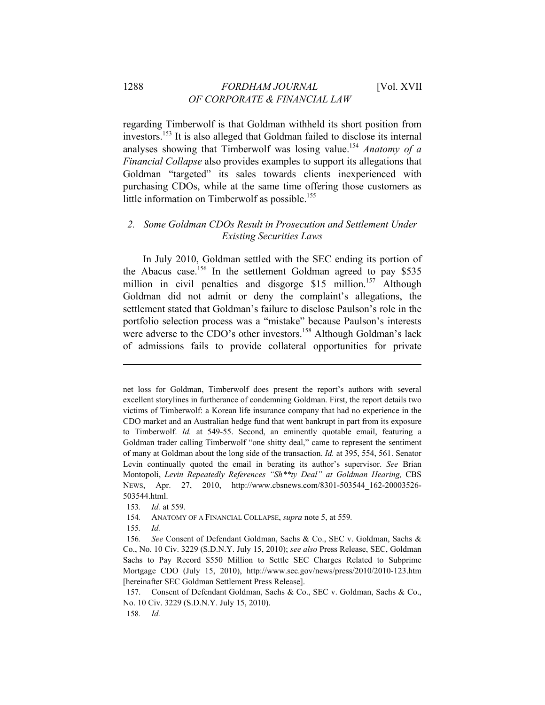regarding Timberwolf is that Goldman withheld its short position from investors.153 It is also alleged that Goldman failed to disclose its internal analyses showing that Timberwolf was losing value.<sup>154</sup> *Anatomy of a Financial Collapse* also provides examples to support its allegations that Goldman "targeted" its sales towards clients inexperienced with purchasing CDOs, while at the same time offering those customers as little information on Timberwolf as possible.<sup>155</sup>

#### *2. Some Goldman CDOs Result in Prosecution and Settlement Under Existing Securities Laws*

In July 2010, Goldman settled with the SEC ending its portion of the Abacus case.<sup>156</sup> In the settlement Goldman agreed to pay \$535 million in civil penalties and disgorge \$15 million.<sup>157</sup> Although Goldman did not admit or deny the complaint's allegations, the settlement stated that Goldman's failure to disclose Paulson's role in the portfolio selection process was a "mistake" because Paulson's interests were adverse to the CDO's other investors.<sup>158</sup> Although Goldman's lack of admissions fails to provide collateral opportunities for private

net loss for Goldman, Timberwolf does present the report's authors with several excellent storylines in furtherance of condemning Goldman. First, the report details two victims of Timberwolf: a Korean life insurance company that had no experience in the CDO market and an Australian hedge fund that went bankrupt in part from its exposure to Timberwolf. *Id.* at 549-55. Second, an eminently quotable email, featuring a Goldman trader calling Timberwolf "one shitty deal," came to represent the sentiment of many at Goldman about the long side of the transaction. *Id.* at 395, 554, 561. Senator Levin continually quoted the email in berating its author's supervisor. *See* Brian Montopoli, *Levin Repeatedly References "Sh\*\*ty Deal" at Goldman Hearing,* CBS NEWS, Apr. 27, 2010, http://www.cbsnews.com/8301-503544\_162-20003526- 503544.html.

<sup>153</sup>*. Id.* at 559*.*

<sup>154</sup>*.* ANATOMY OF A FINANCIAL COLLAPSE, *supra* note 5, at 559*.*

<sup>155</sup>*. Id.*

<sup>156</sup>*. See* Consent of Defendant Goldman, Sachs & Co., SEC v. Goldman, Sachs & Co., No. 10 Civ. 3229 (S.D.N.Y. July 15, 2010); *see also* Press Release, SEC, Goldman Sachs to Pay Record \$550 Million to Settle SEC Charges Related to Subprime Mortgage CDO (July 15, 2010), http://www.sec.gov/news/press/2010/2010-123.htm [hereinafter SEC Goldman Settlement Press Release].

<sup>157.</sup> Consent of Defendant Goldman, Sachs & Co., SEC v. Goldman, Sachs & Co., No. 10 Civ. 3229 (S.D.N.Y. July 15, 2010).

<sup>158</sup>*. Id.*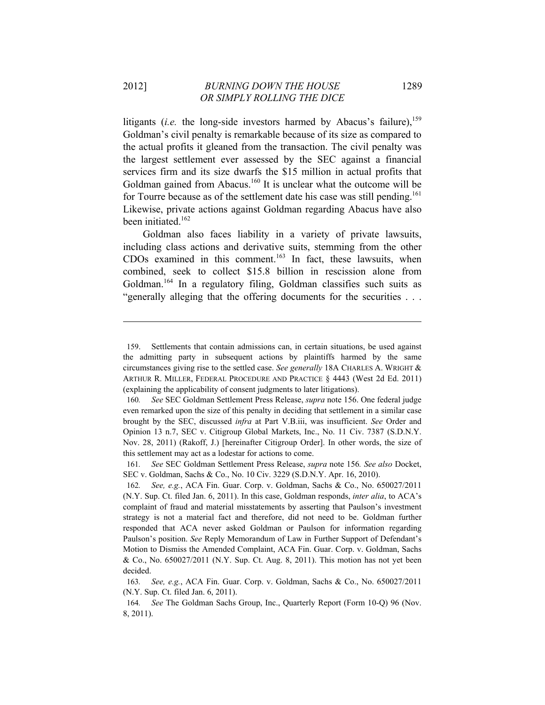litigants (*i.e.* the long-side investors harmed by Abacus's failure),<sup>159</sup> Goldman's civil penalty is remarkable because of its size as compared to the actual profits it gleaned from the transaction. The civil penalty was the largest settlement ever assessed by the SEC against a financial services firm and its size dwarfs the \$15 million in actual profits that Goldman gained from Abacus.<sup>160</sup> It is unclear what the outcome will be for Tourre because as of the settlement date his case was still pending.<sup>161</sup> Likewise, private actions against Goldman regarding Abacus have also been initiated. $162$ 

Goldman also faces liability in a variety of private lawsuits, including class actions and derivative suits, stemming from the other CDOs examined in this comment.<sup>163</sup> In fact, these lawsuits, when combined, seek to collect \$15.8 billion in rescission alone from Goldman.<sup>164</sup> In a regulatory filing, Goldman classifies such suits as "generally alleging that the offering documents for the securities . . .

<sup>159.</sup> Settlements that contain admissions can, in certain situations, be used against the admitting party in subsequent actions by plaintiffs harmed by the same circumstances giving rise to the settled case. *See generally* 18A CHARLES A. WRIGHT & ARTHUR R. MILLER, FEDERAL PROCEDURE AND PRACTICE § 4443 (West 2d Ed. 2011) (explaining the applicability of consent judgments to later litigations).

<sup>160</sup>*. See* SEC Goldman Settlement Press Release, *supra* note 156. One federal judge even remarked upon the size of this penalty in deciding that settlement in a similar case brought by the SEC, discussed *infra* at Part V.B.iii, was insufficient. *See* Order and Opinion 13 n.7, SEC v. Citigroup Global Markets, Inc., No. 11 Civ. 7387 (S.D.N.Y. Nov. 28, 2011) (Rakoff, J.) [hereinafter Citigroup Order]. In other words, the size of this settlement may act as a lodestar for actions to come.

<sup>161</sup>*. See* SEC Goldman Settlement Press Release, *supra* note 156*. See also* Docket, SEC v. Goldman, Sachs & Co., No. 10 Civ. 3229 (S.D.N.Y. Apr. 16, 2010).

<sup>162</sup>*. See, e.g.*, ACA Fin. Guar. Corp. v. Goldman, Sachs & Co., No. 650027/2011 (N.Y. Sup. Ct. filed Jan. 6, 2011). In this case, Goldman responds, *inter alia*, to ACA's complaint of fraud and material misstatements by asserting that Paulson's investment strategy is not a material fact and therefore, did not need to be. Goldman further responded that ACA never asked Goldman or Paulson for information regarding Paulson's position. *See* Reply Memorandum of Law in Further Support of Defendant's Motion to Dismiss the Amended Complaint, ACA Fin. Guar. Corp. v. Goldman, Sachs & Co., No. 650027/2011 (N.Y. Sup. Ct. Aug. 8, 2011). This motion has not yet been decided.

<sup>163</sup>*. See, e.g.*, ACA Fin. Guar. Corp. v. Goldman, Sachs & Co., No. 650027/2011 (N.Y. Sup. Ct. filed Jan. 6, 2011).

<sup>164</sup>*. See* The Goldman Sachs Group, Inc., Quarterly Report (Form 10-Q) 96 (Nov. 8, 2011).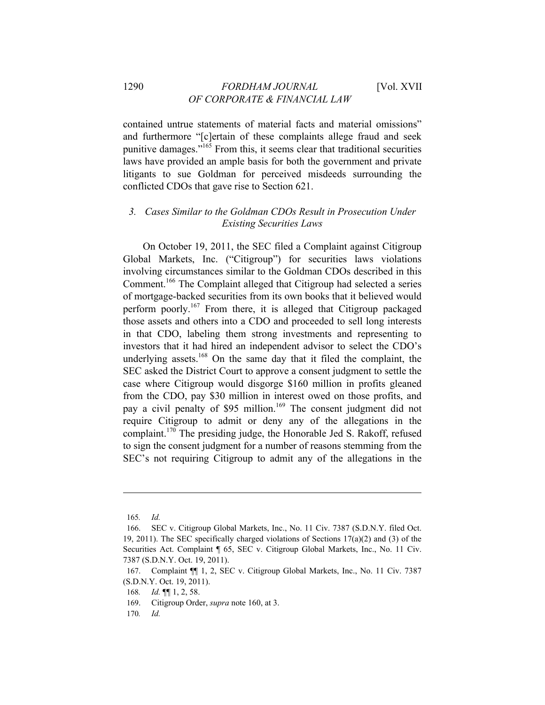contained untrue statements of material facts and material omissions" and furthermore "[c]ertain of these complaints allege fraud and seek punitive damages."165 From this, it seems clear that traditional securities laws have provided an ample basis for both the government and private litigants to sue Goldman for perceived misdeeds surrounding the conflicted CDOs that gave rise to Section 621.

# *3. Cases Similar to the Goldman CDOs Result in Prosecution Under Existing Securities Laws*

On October 19, 2011, the SEC filed a Complaint against Citigroup Global Markets, Inc. ("Citigroup") for securities laws violations involving circumstances similar to the Goldman CDOs described in this Comment.166 The Complaint alleged that Citigroup had selected a series of mortgage-backed securities from its own books that it believed would perform poorly.167 From there, it is alleged that Citigroup packaged those assets and others into a CDO and proceeded to sell long interests in that CDO, labeling them strong investments and representing to investors that it had hired an independent advisor to select the CDO's underlying assets.<sup>168</sup> On the same day that it filed the complaint, the SEC asked the District Court to approve a consent judgment to settle the case where Citigroup would disgorge \$160 million in profits gleaned from the CDO, pay \$30 million in interest owed on those profits, and pay a civil penalty of \$95 million.<sup>169</sup> The consent judgment did not require Citigroup to admit or deny any of the allegations in the complaint.170 The presiding judge, the Honorable Jed S. Rakoff, refused to sign the consent judgment for a number of reasons stemming from the SEC's not requiring Citigroup to admit any of the allegations in the

<sup>165</sup>*. Id.*

<sup>166.</sup> SEC v. Citigroup Global Markets, Inc., No. 11 Civ. 7387 (S.D.N.Y. filed Oct. 19, 2011). The SEC specifically charged violations of Sections 17(a)(2) and (3) of the Securities Act. Complaint ¶ 65, SEC v. Citigroup Global Markets, Inc., No. 11 Civ. 7387 (S.D.N.Y. Oct. 19, 2011).

<sup>167.</sup> Complaint ¶¶ 1, 2, SEC v. Citigroup Global Markets, Inc., No. 11 Civ. 7387 (S.D.N.Y. Oct. 19, 2011).

<sup>168</sup>*. Id.* ¶¶ 1, 2, 58.

<sup>169.</sup> Citigroup Order, *supra* note 160, at 3.

<sup>170</sup>*. Id.*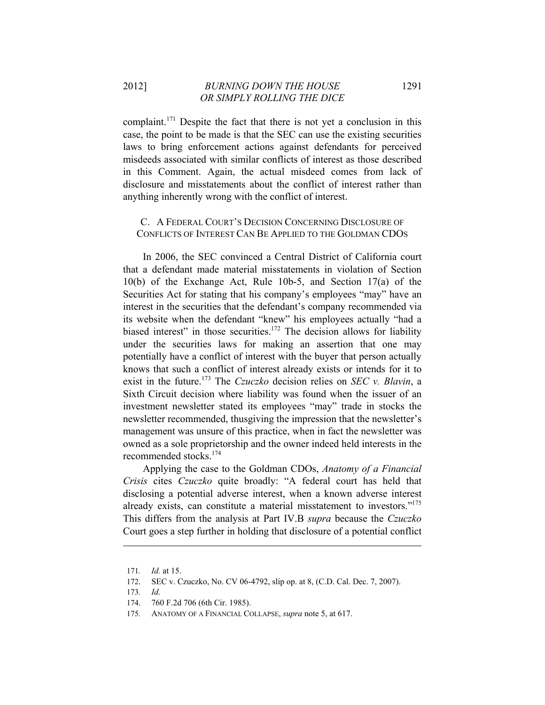complaint.<sup>171</sup> Despite the fact that there is not yet a conclusion in this case, the point to be made is that the SEC can use the existing securities laws to bring enforcement actions against defendants for perceived misdeeds associated with similar conflicts of interest as those described in this Comment. Again, the actual misdeed comes from lack of disclosure and misstatements about the conflict of interest rather than anything inherently wrong with the conflict of interest.

#### C. A FEDERAL COURT'S DECISION CONCERNING DISCLOSURE OF CONFLICTS OF INTEREST CAN BE APPLIED TO THE GOLDMAN CDOS

In 2006, the SEC convinced a Central District of California court that a defendant made material misstatements in violation of Section 10(b) of the Exchange Act, Rule 10b-5, and Section 17(a) of the Securities Act for stating that his company's employees "may" have an interest in the securities that the defendant's company recommended via its website when the defendant "knew" his employees actually "had a biased interest" in those securities.<sup>172</sup> The decision allows for liability under the securities laws for making an assertion that one may potentially have a conflict of interest with the buyer that person actually knows that such a conflict of interest already exists or intends for it to exist in the future.173 The *Czuczko* decision relies on *SEC v. Blavin*, a Sixth Circuit decision where liability was found when the issuer of an investment newsletter stated its employees "may" trade in stocks the newsletter recommended, thusgiving the impression that the newsletter's management was unsure of this practice, when in fact the newsletter was owned as a sole proprietorship and the owner indeed held interests in the recommended stocks.174

Applying the case to the Goldman CDOs, *Anatomy of a Financial Crisis* cites *Czuczko* quite broadly: "A federal court has held that disclosing a potential adverse interest, when a known adverse interest already exists, can constitute a material misstatement to investors."175 This differs from the analysis at Part IV.B *supra* because the *Czuczko* Court goes a step further in holding that disclosure of a potential conflict

<sup>171</sup>*. Id.* at 15.

<sup>172.</sup> SEC v. Czuczko, No. CV 06-4792, slip op. at 8, (C.D. Cal. Dec. 7, 2007).

<sup>173</sup>*. Id.*

<sup>174. 760</sup> F.2d 706 (6th Cir. 1985).

<sup>175</sup>*.* ANATOMY OF A FINANCIAL COLLAPSE, *supra* note 5, at 617.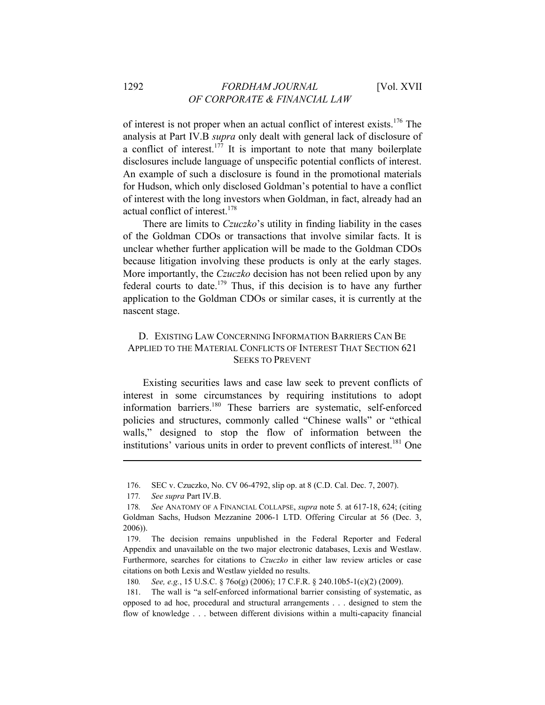of interest is not proper when an actual conflict of interest exists.176 The analysis at Part IV.B *supra* only dealt with general lack of disclosure of a conflict of interest.<sup>177</sup> It is important to note that many boilerplate disclosures include language of unspecific potential conflicts of interest. An example of such a disclosure is found in the promotional materials for Hudson, which only disclosed Goldman's potential to have a conflict of interest with the long investors when Goldman, in fact, already had an actual conflict of interest.<sup>178</sup>

There are limits to *Czuczko*'s utility in finding liability in the cases of the Goldman CDOs or transactions that involve similar facts. It is unclear whether further application will be made to the Goldman CDOs because litigation involving these products is only at the early stages. More importantly, the *Czuczko* decision has not been relied upon by any federal courts to date.<sup>179</sup> Thus, if this decision is to have any further application to the Goldman CDOs or similar cases, it is currently at the nascent stage.

#### D. EXISTING LAW CONCERNING INFORMATION BARRIERS CAN BE APPLIED TO THE MATERIAL CONFLICTS OF INTEREST THAT SECTION 621 SEEKS TO PREVENT

Existing securities laws and case law seek to prevent conflicts of interest in some circumstances by requiring institutions to adopt information barriers.<sup>180</sup> These barriers are systematic, self-enforced policies and structures, commonly called "Chinese walls" or "ethical walls," designed to stop the flow of information between the institutions' various units in order to prevent conflicts of interest.<sup>181</sup> One

<sup>176.</sup> SEC v. Czuczko, No. CV 06-4792, slip op. at 8 (C.D. Cal. Dec. 7, 2007).

<sup>177</sup>*. See supra* Part IV.B.

<sup>178</sup>*. See* ANATOMY OF A FINANCIAL COLLAPSE, *supra* note 5*.* at 617-18, 624; (citing Goldman Sachs, Hudson Mezzanine 2006-1 LTD. Offering Circular at 56 (Dec. 3, 2006)).

<sup>179.</sup> The decision remains unpublished in the Federal Reporter and Federal Appendix and unavailable on the two major electronic databases, Lexis and Westlaw. Furthermore, searches for citations to *Czuczko* in either law review articles or case citations on both Lexis and Westlaw yielded no results.

<sup>180</sup>*. See, e.g.*, 15 U.S.C. § 76o(g) (2006); 17 C.F.R. § 240.10b5-1(c)(2) (2009).

<sup>181.</sup> The wall is "a self-enforced informational barrier consisting of systematic, as opposed to ad hoc, procedural and structural arrangements . . . designed to stem the flow of knowledge . . . between different divisions within a multi-capacity financial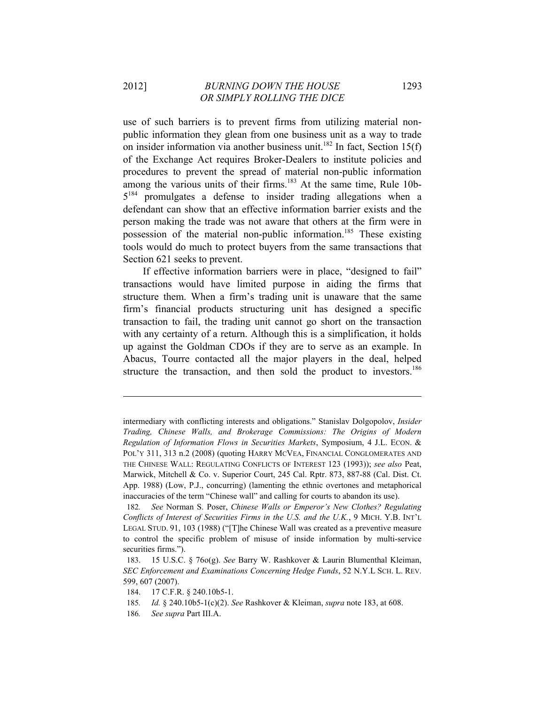use of such barriers is to prevent firms from utilizing material nonpublic information they glean from one business unit as a way to trade on insider information via another business unit.<sup>182</sup> In fact, Section 15(f) of the Exchange Act requires Broker-Dealers to institute policies and procedures to prevent the spread of material non-public information among the various units of their firms.<sup>183</sup> At the same time, Rule 10b- $5^{184}$  promulgates a defense to insider trading allegations when a defendant can show that an effective information barrier exists and the person making the trade was not aware that others at the firm were in possession of the material non-public information.<sup>185</sup> These existing tools would do much to protect buyers from the same transactions that Section 621 seeks to prevent.

If effective information barriers were in place, "designed to fail" transactions would have limited purpose in aiding the firms that structure them. When a firm's trading unit is unaware that the same firm's financial products structuring unit has designed a specific transaction to fail, the trading unit cannot go short on the transaction with any certainty of a return. Although this is a simplification, it holds up against the Goldman CDOs if they are to serve as an example. In Abacus, Tourre contacted all the major players in the deal, helped structure the transaction, and then sold the product to investors.<sup>186</sup>

intermediary with conflicting interests and obligations." Stanislav Dolgopolov, *Insider Trading, Chinese Walls, and Brokerage Commissions: The Origins of Modern Regulation of Information Flows in Securities Markets*, Symposium, 4 J.L. ECON. & POL'Y 311, 313 n.2 (2008) (quoting HARRY MCVEA, FINANCIAL CONGLOMERATES AND THE CHINESE WALL: REGULATING CONFLICTS OF INTEREST 123 (1993)); *see also* Peat, Marwick, Mitchell & Co. v. Superior Court, 245 Cal. Rptr. 873, 887-88 (Cal. Dist. Ct. App. 1988) (Low, P.J., concurring) (lamenting the ethnic overtones and metaphorical inaccuracies of the term "Chinese wall" and calling for courts to abandon its use).

<sup>182</sup>*. See* Norman S. Poser, *Chinese Walls or Emperor's New Clothes? Regulating Conflicts of Interest of Securities Firms in the U.S. and the U.K.*, 9 MICH. Y.B. INT'L LEGAL STUD. 91, 103 (1988) ("[T]he Chinese Wall was created as a preventive measure to control the specific problem of misuse of inside information by multi-service securities firms.").

<sup>183. 15</sup> U.S.C. § 76o(g). *See* Barry W. Rashkover & Laurin Blumenthal Kleiman, *SEC Enforcement and Examinations Concerning Hedge Funds*, 52 N.Y.L SCH. L. REV. 599, 607 (2007).

<sup>184. 17</sup> C.F.R. § 240.10b5-1.

<sup>185</sup>*. Id.* § 240.10b5-1(c)(2). *See* Rashkover & Kleiman, *supra* note 183, at 608.

<sup>186</sup>*. See supra* Part III.A.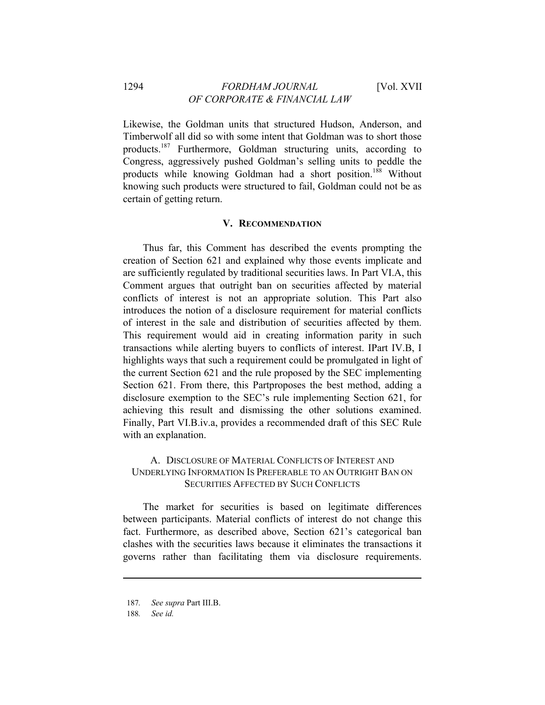Likewise, the Goldman units that structured Hudson, Anderson, and Timberwolf all did so with some intent that Goldman was to short those products.187 Furthermore, Goldman structuring units, according to Congress, aggressively pushed Goldman's selling units to peddle the products while knowing Goldman had a short position.<sup>188</sup> Without knowing such products were structured to fail, Goldman could not be as certain of getting return.

#### **V. RECOMMENDATION**

Thus far, this Comment has described the events prompting the creation of Section 621 and explained why those events implicate and are sufficiently regulated by traditional securities laws. In Part VI.A, this Comment argues that outright ban on securities affected by material conflicts of interest is not an appropriate solution. This Part also introduces the notion of a disclosure requirement for material conflicts of interest in the sale and distribution of securities affected by them. This requirement would aid in creating information parity in such transactions while alerting buyers to conflicts of interest. IPart IV.B, I highlights ways that such a requirement could be promulgated in light of the current Section 621 and the rule proposed by the SEC implementing Section 621. From there, this Partproposes the best method, adding a disclosure exemption to the SEC's rule implementing Section 621, for achieving this result and dismissing the other solutions examined. Finally, Part VI.B.iv.a, provides a recommended draft of this SEC Rule with an explanation.

# A. DISCLOSURE OF MATERIAL CONFLICTS OF INTEREST AND UNDERLYING INFORMATION IS PREFERABLE TO AN OUTRIGHT BAN ON SECURITIES AFFECTED BY SUCH CONFLICTS

The market for securities is based on legitimate differences between participants. Material conflicts of interest do not change this fact. Furthermore, as described above, Section 621's categorical ban clashes with the securities laws because it eliminates the transactions it governs rather than facilitating them via disclosure requirements.

188*. See id.*

<sup>187</sup>*. See supra* Part III.B.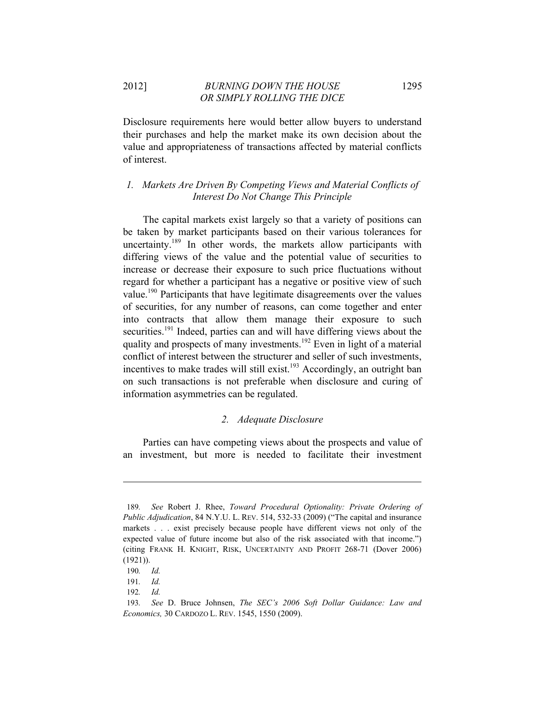2012] *BURNING DOWN THE HOUSE* 1295 *OR SIMPLY ROLLING THE DICE* 

Disclosure requirements here would better allow buyers to understand their purchases and help the market make its own decision about the value and appropriateness of transactions affected by material conflicts of interest.

# *1. Markets Are Driven By Competing Views and Material Conflicts of Interest Do Not Change This Principle*

The capital markets exist largely so that a variety of positions can be taken by market participants based on their various tolerances for uncertainty.<sup>189</sup> In other words, the markets allow participants with differing views of the value and the potential value of securities to increase or decrease their exposure to such price fluctuations without regard for whether a participant has a negative or positive view of such value.<sup>190</sup> Participants that have legitimate disagreements over the values of securities, for any number of reasons, can come together and enter into contracts that allow them manage their exposure to such securities.<sup>191</sup> Indeed, parties can and will have differing views about the quality and prospects of many investments.<sup>192</sup> Even in light of a material conflict of interest between the structurer and seller of such investments, incentives to make trades will still exist.<sup>193</sup> Accordingly, an outright ban on such transactions is not preferable when disclosure and curing of information asymmetries can be regulated.

#### *2. Adequate Disclosure*

Parties can have competing views about the prospects and value of an investment, but more is needed to facilitate their investment

<sup>189</sup>*. See* Robert J. Rhee, *Toward Procedural Optionality: Private Ordering of Public Adjudication*, 84 N.Y.U. L. REV. 514, 532-33 (2009) ("The capital and insurance markets . . . exist precisely because people have different views not only of the expected value of future income but also of the risk associated with that income.") (citing FRANK H. KNIGHT, RISK, UNCERTAINTY AND PROFIT 268-71 (Dover 2006) (1921)).

<sup>190</sup>*. Id.*

<sup>191</sup>*. Id.*

<sup>192</sup>*. Id.*

<sup>193</sup>*. See* D. Bruce Johnsen, *The SEC's 2006 Soft Dollar Guidance: Law and Economics,* 30 CARDOZO L. REV. 1545, 1550 (2009).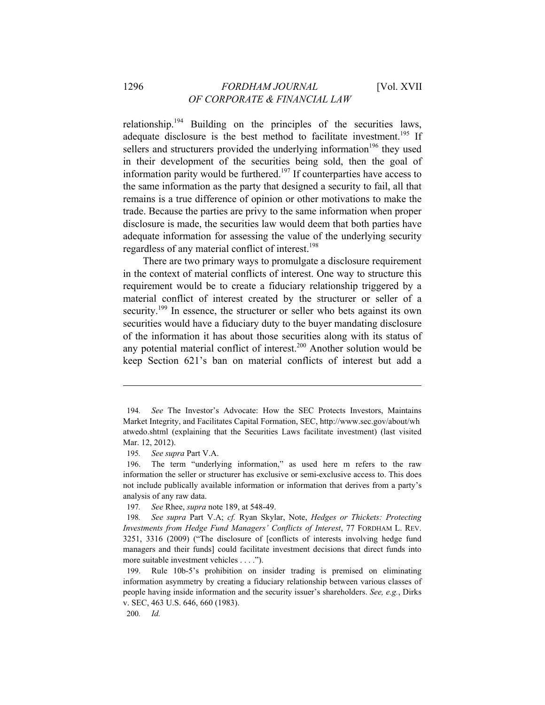relationship.194 Building on the principles of the securities laws, adequate disclosure is the best method to facilitate investment.<sup>195</sup> If sellers and structurers provided the underlying information<sup>196</sup> they used in their development of the securities being sold, then the goal of information parity would be furthered.<sup>197</sup> If counterparties have access to the same information as the party that designed a security to fail, all that remains is a true difference of opinion or other motivations to make the trade. Because the parties are privy to the same information when proper disclosure is made, the securities law would deem that both parties have adequate information for assessing the value of the underlying security regardless of any material conflict of interest.<sup>198</sup>

There are two primary ways to promulgate a disclosure requirement in the context of material conflicts of interest. One way to structure this requirement would be to create a fiduciary relationship triggered by a material conflict of interest created by the structurer or seller of a security.<sup>199</sup> In essence, the structurer or seller who bets against its own securities would have a fiduciary duty to the buyer mandating disclosure of the information it has about those securities along with its status of any potential material conflict of interest.<sup>200</sup> Another solution would be keep Section 621's ban on material conflicts of interest but add a

<sup>194</sup>*. See* The Investor's Advocate: How the SEC Protects Investors, Maintains Market Integrity, and Facilitates Capital Formation, SEC, http://www.sec.gov/about/wh atwedo.shtml (explaining that the Securities Laws facilitate investment) (last visited Mar. 12, 2012).

<sup>195</sup>*. See supra* Part V.A.

<sup>196.</sup> The term "underlying information," as used here m refers to the raw information the seller or structurer has exclusive or semi-exclusive access to. This does not include publically available information or information that derives from a party's analysis of any raw data.

<sup>197</sup>*. See* Rhee, *supra* note 189, at 548-49.

<sup>198</sup>*. See supra* Part V.A; *cf.* Ryan Skylar, Note, *Hedges or Thickets: Protecting Investments from Hedge Fund Managers' Conflicts of Interest*, 77 FORDHAM L. REV. 3251, 3316 (2009) ("The disclosure of [conflicts of interests involving hedge fund managers and their funds] could facilitate investment decisions that direct funds into more suitable investment vehicles . . . .").

<sup>199.</sup> Rule 10b-5's prohibition on insider trading is premised on eliminating information asymmetry by creating a fiduciary relationship between various classes of people having inside information and the security issuer's shareholders. *See, e.g.*, Dirks v. SEC, 463 U.S. 646, 660 (1983).

<sup>200</sup>*. Id.*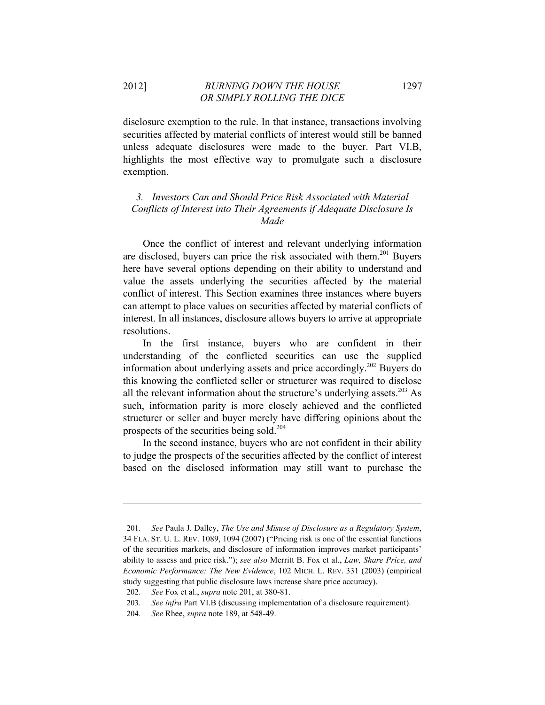disclosure exemption to the rule. In that instance, transactions involving securities affected by material conflicts of interest would still be banned unless adequate disclosures were made to the buyer. Part VI.B, highlights the most effective way to promulgate such a disclosure exemption.

# *3. Investors Can and Should Price Risk Associated with Material Conflicts of Interest into Their Agreements if Adequate Disclosure Is Made*

Once the conflict of interest and relevant underlying information are disclosed, buyers can price the risk associated with them.<sup>201</sup> Buyers here have several options depending on their ability to understand and value the assets underlying the securities affected by the material conflict of interest. This Section examines three instances where buyers can attempt to place values on securities affected by material conflicts of interest. In all instances, disclosure allows buyers to arrive at appropriate resolutions.

In the first instance, buyers who are confident in their understanding of the conflicted securities can use the supplied information about underlying assets and price accordingly.202 Buyers do this knowing the conflicted seller or structurer was required to disclose all the relevant information about the structure's underlying assets.<sup>203</sup> As such, information parity is more closely achieved and the conflicted structurer or seller and buyer merely have differing opinions about the prospects of the securities being sold.204

In the second instance, buyers who are not confident in their ability to judge the prospects of the securities affected by the conflict of interest based on the disclosed information may still want to purchase the

<sup>201</sup>*. See* Paula J. Dalley, *The Use and Misuse of Disclosure as a Regulatory System*, 34 FLA. ST. U. L. REV. 1089, 1094 (2007) ("Pricing risk is one of the essential functions of the securities markets, and disclosure of information improves market participants' ability to assess and price risk."); *see also* Merritt B. Fox et al., *Law, Share Price, and Economic Performance: The New Evidence*, 102 MICH. L. REV. 331 (2003) (empirical study suggesting that public disclosure laws increase share price accuracy).

<sup>202</sup>*. See* Fox et al., *supra* note 201, at 380-81.

<sup>203</sup>*. See infra* Part VI.B (discussing implementation of a disclosure requirement).

<sup>204</sup>*. See* Rhee, *supra* note 189, at 548-49.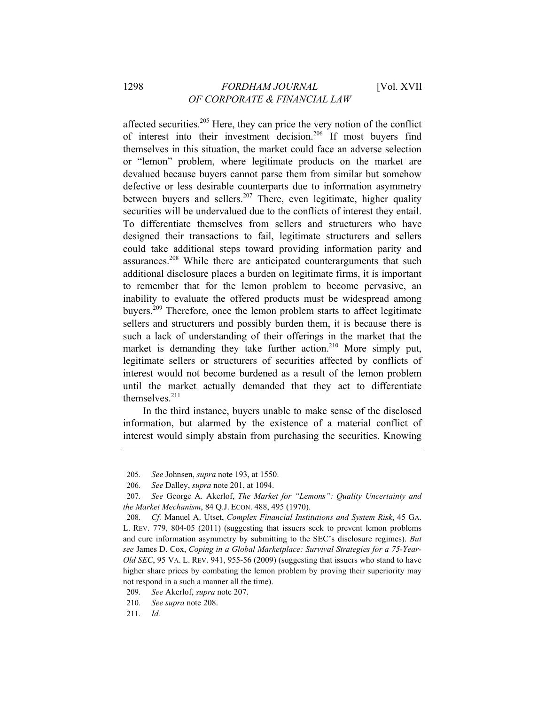affected securities.205 Here, they can price the very notion of the conflict of interest into their investment decision.206 If most buyers find themselves in this situation, the market could face an adverse selection or "lemon" problem, where legitimate products on the market are devalued because buyers cannot parse them from similar but somehow defective or less desirable counterparts due to information asymmetry between buyers and sellers.<sup>207</sup> There, even legitimate, higher quality securities will be undervalued due to the conflicts of interest they entail. To differentiate themselves from sellers and structurers who have designed their transactions to fail, legitimate structurers and sellers could take additional steps toward providing information parity and assurances.<sup>208</sup> While there are anticipated counterarguments that such additional disclosure places a burden on legitimate firms, it is important to remember that for the lemon problem to become pervasive, an inability to evaluate the offered products must be widespread among buyers.209 Therefore, once the lemon problem starts to affect legitimate sellers and structurers and possibly burden them, it is because there is such a lack of understanding of their offerings in the market that the market is demanding they take further action.<sup>210</sup> More simply put, legitimate sellers or structurers of securities affected by conflicts of interest would not become burdened as a result of the lemon problem until the market actually demanded that they act to differentiate themselves. $211$ 

In the third instance, buyers unable to make sense of the disclosed information, but alarmed by the existence of a material conflict of interest would simply abstain from purchasing the securities. Knowing

<sup>205</sup>*. See* Johnsen, *supra* note 193, at 1550.

<sup>206</sup>*. See* Dalley, *supra* note 201, at 1094.

<sup>207</sup>*. See* George A. Akerlof, *The Market for "Lemons": Quality Uncertainty and the Market Mechanism*, 84 Q.J. ECON. 488, 495 (1970).

<sup>208</sup>*. Cf.* Manuel A. Utset, *Complex Financial Institutions and System Risk*, 45 GA. L. REV. 779, 804-05 (2011) (suggesting that issuers seek to prevent lemon problems and cure information asymmetry by submitting to the SEC's disclosure regimes). *But see* James D. Cox, *Coping in a Global Marketplace: Survival Strategies for a 75-Year-Old SEC*, 95 VA. L. REV. 941, 955-56 (2009) (suggesting that issuers who stand to have higher share prices by combating the lemon problem by proving their superiority may not respond in a such a manner all the time).

<sup>209</sup>*. See* Akerlof, *supra* note 207.

<sup>210</sup>*. See supra* note 208.

<sup>211</sup>*. Id.*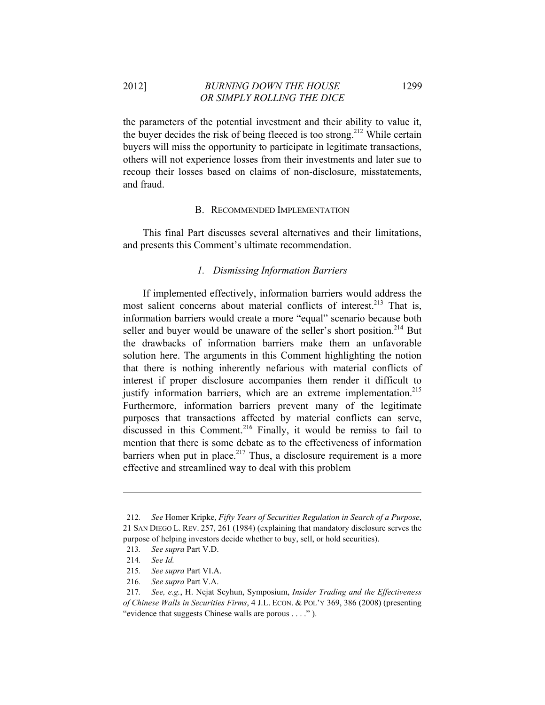2012] *BURNING DOWN THE HOUSE* 1299 *OR SIMPLY ROLLING THE DICE* 

the parameters of the potential investment and their ability to value it, the buyer decides the risk of being fleeced is too strong.<sup>212</sup> While certain buyers will miss the opportunity to participate in legitimate transactions, others will not experience losses from their investments and later sue to recoup their losses based on claims of non-disclosure, misstatements, and fraud.

#### B. RECOMMENDED IMPLEMENTATION

This final Part discusses several alternatives and their limitations, and presents this Comment's ultimate recommendation.

#### *1. Dismissing Information Barriers*

If implemented effectively, information barriers would address the most salient concerns about material conflicts of interest.<sup>213</sup> That is, information barriers would create a more "equal" scenario because both seller and buyer would be unaware of the seller's short position.<sup>214</sup> But the drawbacks of information barriers make them an unfavorable solution here. The arguments in this Comment highlighting the notion that there is nothing inherently nefarious with material conflicts of interest if proper disclosure accompanies them render it difficult to justify information barriers, which are an extreme implementation.<sup>215</sup> Furthermore, information barriers prevent many of the legitimate purposes that transactions affected by material conflicts can serve, discussed in this Comment.<sup>216</sup> Finally, it would be remiss to fail to mention that there is some debate as to the effectiveness of information barriers when put in place.<sup>217</sup> Thus, a disclosure requirement is a more effective and streamlined way to deal with this problem

<sup>212</sup>*. See* Homer Kripke, *Fifty Years of Securities Regulation in Search of a Purpose*, 21 SAN DIEGO L. REV. 257, 261 (1984) (explaining that mandatory disclosure serves the purpose of helping investors decide whether to buy, sell, or hold securities).

<sup>213</sup>*. See supra* Part V.D.

<sup>214</sup>*. See Id.*

<sup>215</sup>*. See supra* Part VI.A.

<sup>216</sup>*. See supra* Part V.A.

<sup>217</sup>*. See, e.g.*, H. Nejat Seyhun, Symposium, *Insider Trading and the Effectiveness of Chinese Walls in Securities Firms*, 4 J.L. ECON. & POL'Y 369, 386 (2008) (presenting "evidence that suggests Chinese walls are porous . . . ." ).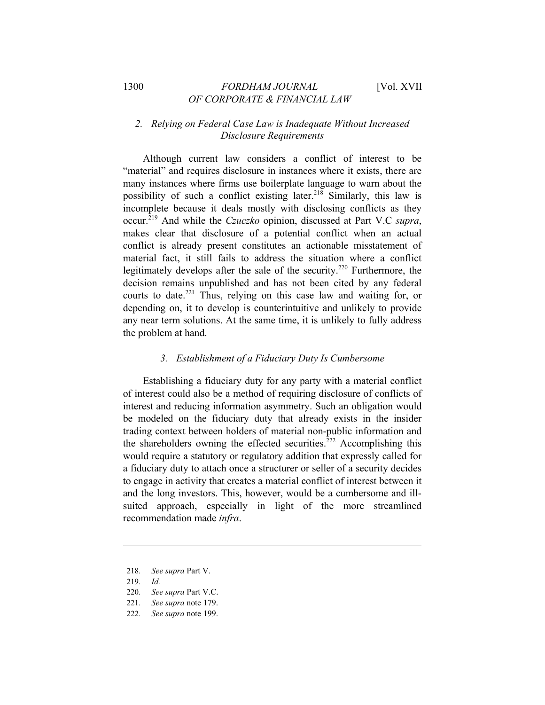# *2. Relying on Federal Case Law is Inadequate Without Increased Disclosure Requirements*

Although current law considers a conflict of interest to be "material" and requires disclosure in instances where it exists, there are many instances where firms use boilerplate language to warn about the possibility of such a conflict existing later.<sup>218</sup> Similarly, this law is incomplete because it deals mostly with disclosing conflicts as they occur.219 And while the *Czuczko* opinion, discussed at Part V.C *supra*, makes clear that disclosure of a potential conflict when an actual conflict is already present constitutes an actionable misstatement of material fact, it still fails to address the situation where a conflict legitimately develops after the sale of the security.<sup>220</sup> Furthermore, the decision remains unpublished and has not been cited by any federal courts to date.<sup>221</sup> Thus, relying on this case law and waiting for, or depending on, it to develop is counterintuitive and unlikely to provide any near term solutions. At the same time, it is unlikely to fully address the problem at hand.

#### *3. Establishment of a Fiduciary Duty Is Cumbersome*

Establishing a fiduciary duty for any party with a material conflict of interest could also be a method of requiring disclosure of conflicts of interest and reducing information asymmetry. Such an obligation would be modeled on the fiduciary duty that already exists in the insider trading context between holders of material non-public information and the shareholders owning the effected securities.<sup>222</sup> Accomplishing this would require a statutory or regulatory addition that expressly called for a fiduciary duty to attach once a structurer or seller of a security decides to engage in activity that creates a material conflict of interest between it and the long investors. This, however, would be a cumbersome and illsuited approach, especially in light of the more streamlined recommendation made *infra*.

<sup>218</sup>*. See supra* Part V.

<sup>219</sup>*. Id.*

<sup>220</sup>*. See supra* Part V.C.

<sup>221</sup>*. See supra* note 179.

<sup>222</sup>*. See supra* note 199.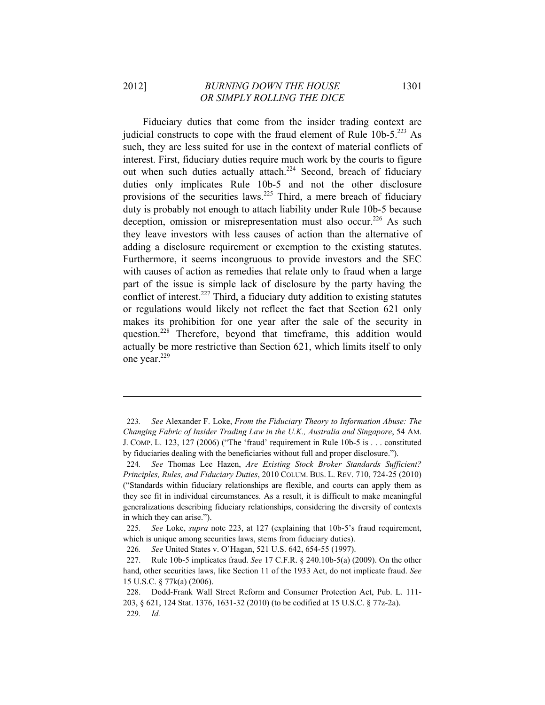Fiduciary duties that come from the insider trading context are judicial constructs to cope with the fraud element of Rule  $10b-5$ .<sup>223</sup> As such, they are less suited for use in the context of material conflicts of interest. First, fiduciary duties require much work by the courts to figure out when such duties actually attach.<sup>224</sup> Second, breach of fiduciary duties only implicates Rule 10b-5 and not the other disclosure provisions of the securities laws.<sup>225</sup> Third, a mere breach of fiduciary duty is probably not enough to attach liability under Rule 10b-5 because deception, omission or misrepresentation must also occur.<sup>226</sup> As such they leave investors with less causes of action than the alternative of adding a disclosure requirement or exemption to the existing statutes. Furthermore, it seems incongruous to provide investors and the SEC with causes of action as remedies that relate only to fraud when a large part of the issue is simple lack of disclosure by the party having the conflict of interest.<sup>227</sup> Third, a fiduciary duty addition to existing statutes or regulations would likely not reflect the fact that Section 621 only makes its prohibition for one year after the sale of the security in question.<sup>228</sup> Therefore, beyond that timeframe, this addition would actually be more restrictive than Section 621, which limits itself to only one year.<sup>229</sup>

<sup>223</sup>*. See* Alexander F. Loke, *From the Fiduciary Theory to Information Abuse: The Changing Fabric of Insider Trading Law in the U.K., Australia and Singapore*, 54 AM. J. COMP. L. 123, 127 (2006) ("The 'fraud' requirement in Rule 10b-5 is . . . constituted by fiduciaries dealing with the beneficiaries without full and proper disclosure.").

<sup>224</sup>*. See* Thomas Lee Hazen, *Are Existing Stock Broker Standards Sufficient? Principles, Rules, and Fiduciary Duties*, 2010 COLUM. BUS. L. REV. 710, 724-25 (2010) ("Standards within fiduciary relationships are flexible, and courts can apply them as they see fit in individual circumstances. As a result, it is difficult to make meaningful generalizations describing fiduciary relationships, considering the diversity of contexts in which they can arise.").

<sup>225</sup>*. See* Loke, *supra* note 223, at 127 (explaining that 10b-5's fraud requirement, which is unique among securities laws, stems from fiduciary duties).

<sup>226</sup>*. See* United States v. O'Hagan, 521 U.S. 642, 654-55 (1997).

<sup>227.</sup> Rule 10b-5 implicates fraud. *See* 17 C.F.R. § 240.10b-5(a) (2009). On the other hand, other securities laws, like Section 11 of the 1933 Act, do not implicate fraud. *See* 15 U.S.C. § 77k(a) (2006).

<sup>228.</sup> Dodd-Frank Wall Street Reform and Consumer Protection Act, Pub. L. 111- 203, § 621, 124 Stat. 1376, 1631-32 (2010) (to be codified at 15 U.S.C. § 77z-2a). 229*. Id.*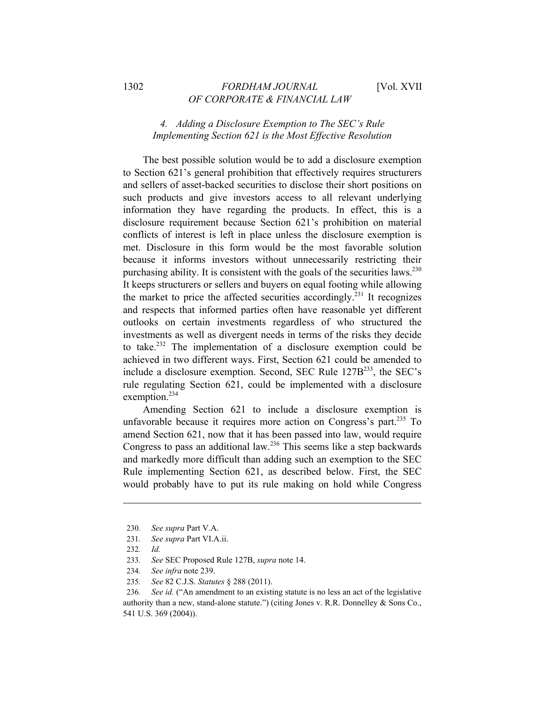# *4. Adding a Disclosure Exemption to The SEC's Rule Implementing Section 621 is the Most Effective Resolution*

The best possible solution would be to add a disclosure exemption to Section 621's general prohibition that effectively requires structurers and sellers of asset-backed securities to disclose their short positions on such products and give investors access to all relevant underlying information they have regarding the products. In effect, this is a disclosure requirement because Section 621's prohibition on material conflicts of interest is left in place unless the disclosure exemption is met. Disclosure in this form would be the most favorable solution because it informs investors without unnecessarily restricting their purchasing ability. It is consistent with the goals of the securities laws.<sup>230</sup> It keeps structurers or sellers and buyers on equal footing while allowing the market to price the affected securities accordingly.231 It recognizes and respects that informed parties often have reasonable yet different outlooks on certain investments regardless of who structured the investments as well as divergent needs in terms of the risks they decide to take.<sup>232</sup> The implementation of a disclosure exemption could be achieved in two different ways. First, Section 621 could be amended to include a disclosure exemption. Second, SEC Rule 127B<sup>233</sup>, the SEC's rule regulating Section 621, could be implemented with a disclosure exemption.<sup>234</sup>

Amending Section 621 to include a disclosure exemption is unfavorable because it requires more action on Congress's part.<sup>235</sup> To amend Section 621, now that it has been passed into law, would require Congress to pass an additional law.236 This seems like a step backwards and markedly more difficult than adding such an exemption to the SEC Rule implementing Section 621, as described below. First, the SEC would probably have to put its rule making on hold while Congress

<sup>230</sup>*. See supra* Part V.A.

<sup>231</sup>*. See supra* Part VI.A.ii.

<sup>232</sup>*. Id.*

<sup>233</sup>*. See* SEC Proposed Rule 127B, *supra* note 14.

<sup>234</sup>*. See infra* note 239.

<sup>235</sup>*. See* 82 C.J.S. *Statutes* § 288 (2011).

<sup>236</sup>*. See id.* ("An amendment to an existing statute is no less an act of the legislative authority than a new, stand-alone statute.") (citing Jones v. R.R. Donnelley & Sons Co., 541 U.S. 369 (2004)).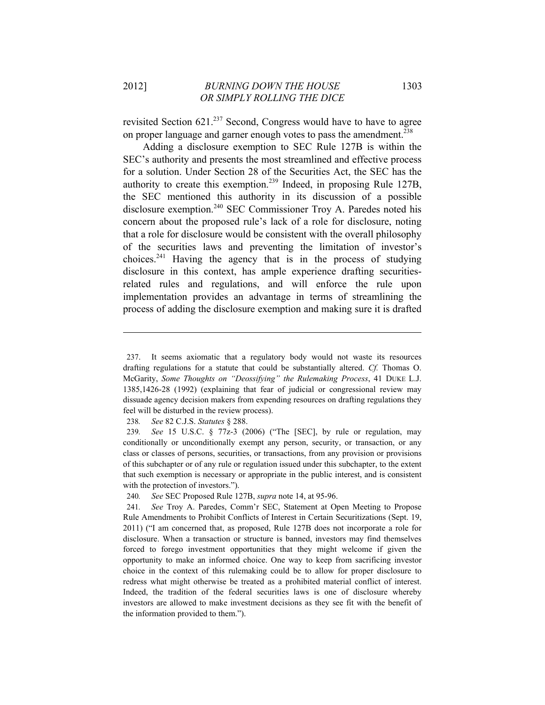revisited Section 621.<sup>237</sup> Second, Congress would have to have to agree on proper language and garner enough votes to pass the amendment.<sup>238</sup>

Adding a disclosure exemption to SEC Rule 127B is within the SEC's authority and presents the most streamlined and effective process for a solution. Under Section 28 of the Securities Act, the SEC has the authority to create this exemption.239 Indeed, in proposing Rule 127B, the SEC mentioned this authority in its discussion of a possible disclosure exemption.240 SEC Commissioner Troy A. Paredes noted his concern about the proposed rule's lack of a role for disclosure, noting that a role for disclosure would be consistent with the overall philosophy of the securities laws and preventing the limitation of investor's choices. $241$  Having the agency that is in the process of studying disclosure in this context, has ample experience drafting securitiesrelated rules and regulations, and will enforce the rule upon implementation provides an advantage in terms of streamlining the process of adding the disclosure exemption and making sure it is drafted

238*. See* 82 C.J.S. *Statutes* § 288.

<sup>237.</sup> It seems axiomatic that a regulatory body would not waste its resources drafting regulations for a statute that could be substantially altered. *Cf.* Thomas O. McGarity, *Some Thoughts on "Deossifying" the Rulemaking Process*, 41 DUKE L.J. 1385,1426-28 (1992) (explaining that fear of judicial or congressional review may dissuade agency decision makers from expending resources on drafting regulations they feel will be disturbed in the review process).

<sup>239</sup>*. See* 15 U.S.C. § 77z-3 (2006) ("The [SEC], by rule or regulation, may conditionally or unconditionally exempt any person, security, or transaction, or any class or classes of persons, securities, or transactions, from any provision or provisions of this subchapter or of any rule or regulation issued under this subchapter, to the extent that such exemption is necessary or appropriate in the public interest, and is consistent with the protection of investors.").

<sup>240</sup>*. See* SEC Proposed Rule 127B, *supra* note 14, at 95-96.

<sup>241</sup>*. See* Troy A. Paredes, Comm'r SEC, Statement at Open Meeting to Propose Rule Amendments to Prohibit Conflicts of Interest in Certain Securitizations (Sept. 19, 2011) ("I am concerned that, as proposed, Rule 127B does not incorporate a role for disclosure. When a transaction or structure is banned, investors may find themselves forced to forego investment opportunities that they might welcome if given the opportunity to make an informed choice. One way to keep from sacrificing investor choice in the context of this rulemaking could be to allow for proper disclosure to redress what might otherwise be treated as a prohibited material conflict of interest. Indeed, the tradition of the federal securities laws is one of disclosure whereby investors are allowed to make investment decisions as they see fit with the benefit of the information provided to them.").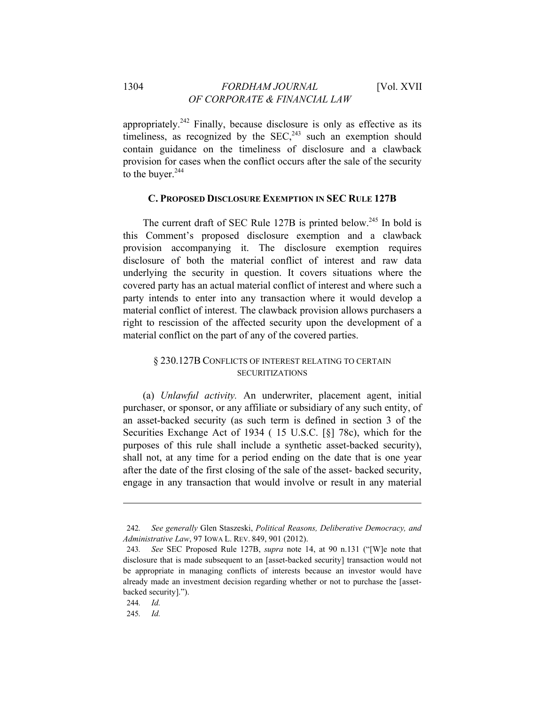appropriately.<sup>242</sup> Finally, because disclosure is only as effective as its timeliness, as recognized by the  $SEC.^{243}$  such an exemption should contain guidance on the timeliness of disclosure and a clawback provision for cases when the conflict occurs after the sale of the security to the buyer.<sup>244</sup>

#### **C. PROPOSED DISCLOSURE EXEMPTION IN SEC RULE 127B**

The current draft of SEC Rule 127B is printed below.<sup>245</sup> In bold is this Comment's proposed disclosure exemption and a clawback provision accompanying it. The disclosure exemption requires disclosure of both the material conflict of interest and raw data underlying the security in question. It covers situations where the covered party has an actual material conflict of interest and where such a party intends to enter into any transaction where it would develop a material conflict of interest. The clawback provision allows purchasers a right to rescission of the affected security upon the development of a material conflict on the part of any of the covered parties.

## § 230.127B CONFLICTS OF INTEREST RELATING TO CERTAIN SECURITIZATIONS

(a) *Unlawful activity.* An underwriter, placement agent, initial purchaser, or sponsor, or any affiliate or subsidiary of any such entity, of an asset-backed security (as such term is defined in section 3 of the Securities Exchange Act of 1934 ( 15 U.S.C. [§] 78c), which for the purposes of this rule shall include a synthetic asset-backed security), shall not, at any time for a period ending on the date that is one year after the date of the first closing of the sale of the asset- backed security, engage in any transaction that would involve or result in any material

<sup>242</sup>*. See generally* Glen Staszeski, *Political Reasons, Deliberative Democracy, and Administrative Law*, 97 IOWA L. REV. 849, 901 (2012).

<sup>243</sup>*. See* SEC Proposed Rule 127B, *supra* note 14, at 90 n.131 ("[W]e note that disclosure that is made subsequent to an [asset-backed security] transaction would not be appropriate in managing conflicts of interests because an investor would have already made an investment decision regarding whether or not to purchase the [assetbacked security].").

<sup>244</sup>*. Id.*

<sup>245</sup>*. Id.*